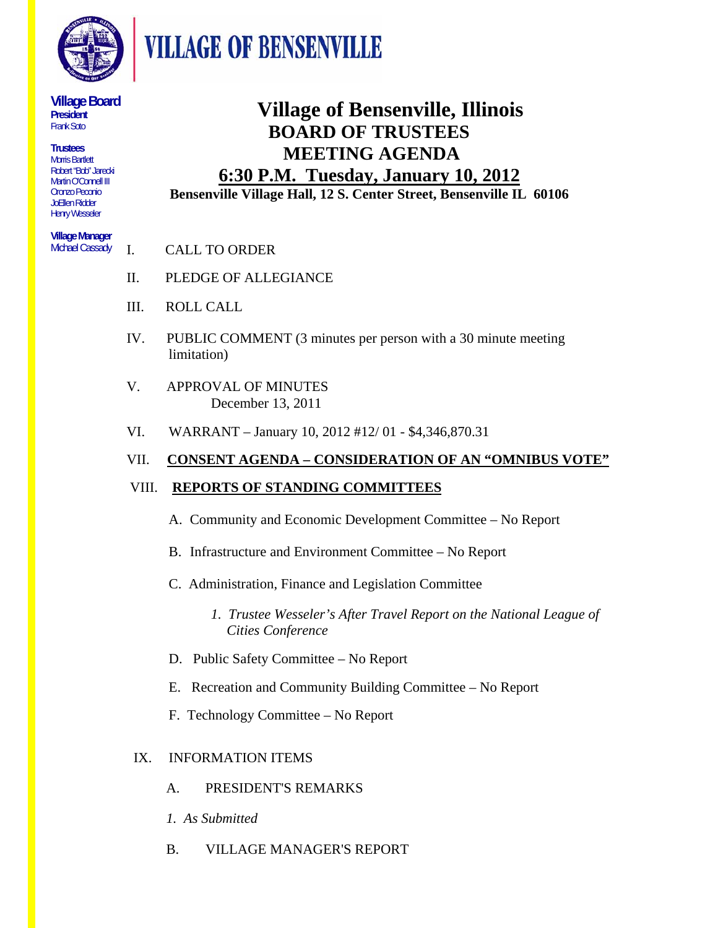

**VILLAGE OF BENSENVILLE** 

#### **Village Board President**  Frank Soto

**Trustees**  Morris Bartlett Robert "Bob" Jarecki Martin O'Connell III Oronzo Peconio JoEllen Ridder Henry Wesseler

#### **Village Manager**  Michael Cassady

## **Village of Bensenville, Illinois BOARD OF TRUSTEES MEETING AGENDA**

### **6:30 P.M. Tuesday, January 10, 2012 Bensenville Village Hall, 12 S. Center Street, Bensenville IL 60106**

- I. CALL TO ORDER
- II. PLEDGE OF ALLEGIANCE
- III. ROLL CALL
- IV. PUBLIC COMMENT (3 minutes per person with a 30 minute meeting limitation)
- V. APPROVAL OF MINUTES December 13, 2011
- VI. WARRANT January 10, 2012 #12/ 01 \$4,346,870.31

## VII. **CONSENT AGENDA – CONSIDERATION OF AN "OMNIBUS VOTE"**

## VIII. **REPORTS OF STANDING COMMITTEES**

- A. Community and Economic Development Committee No Report
- B. Infrastructure and Environment Committee No Report
- C. Administration, Finance and Legislation Committee
	- *1. Trustee Wesseler's After Travel Report on the National League of Cities Conference*
- D. Public Safety Committee No Report
- E. Recreation and Community Building Committee No Report
- F. Technology Committee No Report

## IX. INFORMATION ITEMS

- A. PRESIDENT'S REMARKS
- *1. As Submitted*
- B. VILLAGE MANAGER'S REPORT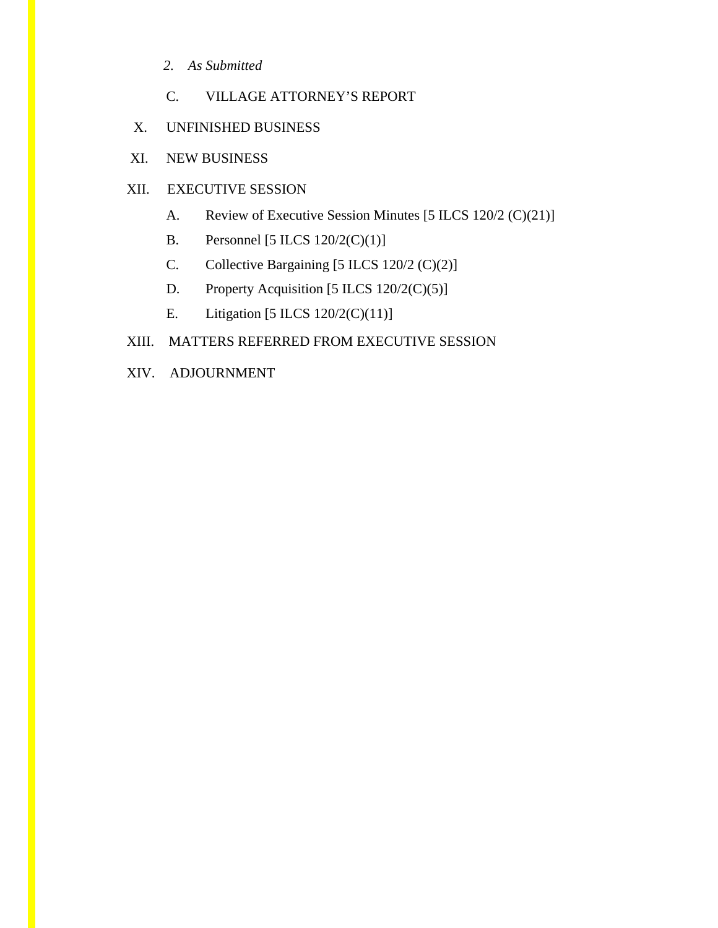- *2. As Submitted*
- C. VILLAGE ATTORNEY'S REPORT
- X. UNFINISHED BUSINESS
- XI. NEW BUSINESS

### XII. EXECUTIVE SESSION

- A. Review of Executive Session Minutes [5 ILCS 120/2 (C)(21)]
- B. Personnel [5 ILCS 120/2(C)(1)]
- C. Collective Bargaining [5 ILCS 120/2 (C)(2)]
- D. Property Acquisition [5 ILCS 120/2(C)(5)]
- E. Litigation [5 ILCS 120/2(C)(11)]

#### XIII. MATTERS REFERRED FROM EXECUTIVE SESSION

XIV. ADJOURNMENT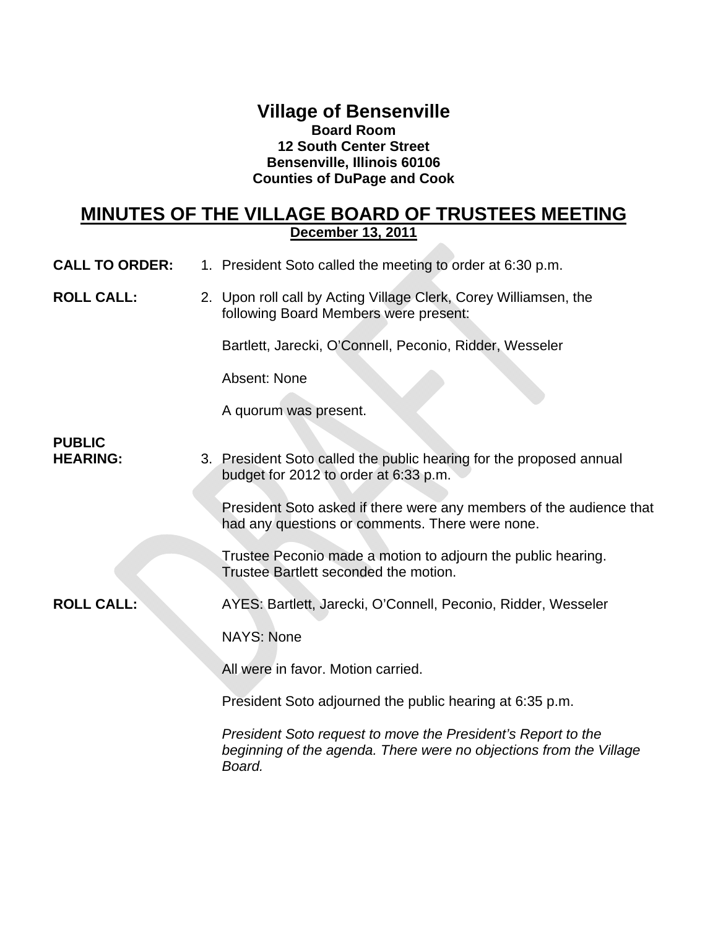### **Village of Bensenville Board Room 12 South Center Street Bensenville, Illinois 60106 Counties of DuPage and Cook**

## **MINUTES OF THE VILLAGE BOARD OF TRUSTEES MEETING December 13, 2011**

- **CALL TO ORDER:** 1. President Soto called the meeting to order at 6:30 p.m.
- **ROLL CALL:** 2. Upon roll call by Acting Village Clerk, Corey Williamsen, the following Board Members were present:

Bartlett, Jarecki, O'Connell, Peconio, Ridder, Wesseler

Absent: None

A quorum was present.

# **PUBLIC**

**HEARING:** 3. President Soto called the public hearing for the proposed annual budget for 2012 to order at 6:33 p.m.

> President Soto asked if there were any members of the audience that had any questions or comments. There were none.

Trustee Peconio made a motion to adjourn the public hearing. Trustee Bartlett seconded the motion.

**ROLL CALL:** AYES: Bartlett, Jarecki, O'Connell, Peconio, Ridder, Wesseler

NAYS: None

All were in favor. Motion carried.

President Soto adjourned the public hearing at 6:35 p.m.

*President Soto request to move the President's Report to the beginning of the agenda. There were no objections from the Village Board.*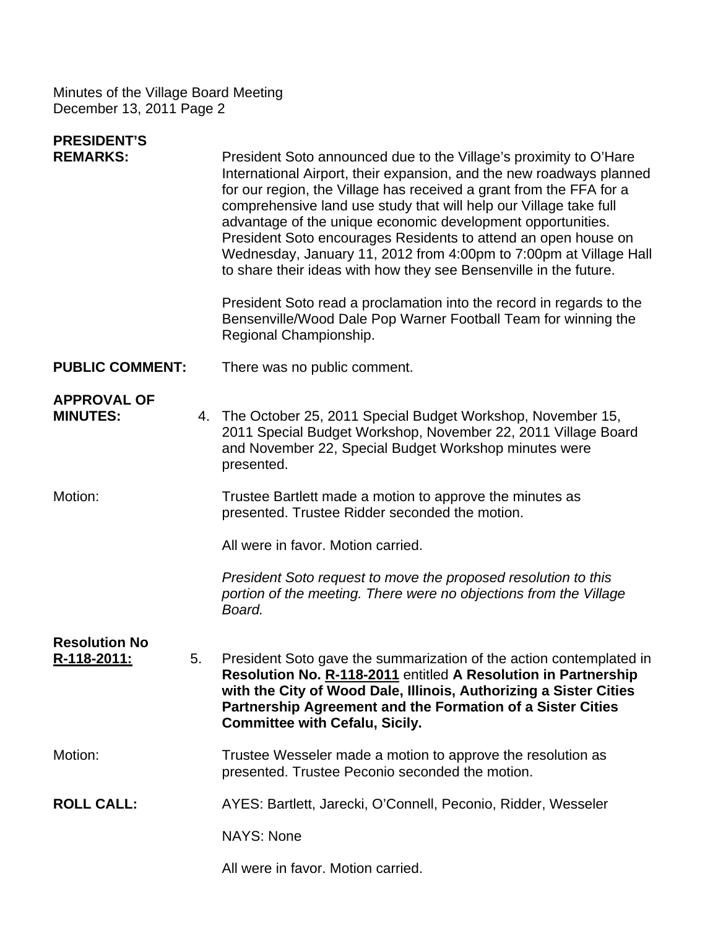| <b>PRESIDENT'S</b><br><b>REMARKS:</b>      |    | President Soto announced due to the Village's proximity to O'Hare<br>International Airport, their expansion, and the new roadways planned<br>for our region, the Village has received a grant from the FFA for a<br>comprehensive land use study that will help our Village take full<br>advantage of the unique economic development opportunities.<br>President Soto encourages Residents to attend an open house on<br>Wednesday, January 11, 2012 from 4:00pm to 7:00pm at Village Hall<br>to share their ideas with how they see Bensenville in the future.<br>President Soto read a proclamation into the record in regards to the<br>Bensenville/Wood Dale Pop Warner Football Team for winning the<br>Regional Championship. |
|--------------------------------------------|----|--------------------------------------------------------------------------------------------------------------------------------------------------------------------------------------------------------------------------------------------------------------------------------------------------------------------------------------------------------------------------------------------------------------------------------------------------------------------------------------------------------------------------------------------------------------------------------------------------------------------------------------------------------------------------------------------------------------------------------------|
| <b>PUBLIC COMMENT:</b>                     |    | There was no public comment.                                                                                                                                                                                                                                                                                                                                                                                                                                                                                                                                                                                                                                                                                                         |
| <b>APPROVAL OF</b><br><b>MINUTES:</b>      |    | 4. The October 25, 2011 Special Budget Workshop, November 15,<br>2011 Special Budget Workshop, November 22, 2011 Village Board<br>and November 22, Special Budget Workshop minutes were<br>presented.                                                                                                                                                                                                                                                                                                                                                                                                                                                                                                                                |
| Motion:                                    |    | Trustee Bartlett made a motion to approve the minutes as<br>presented. Trustee Ridder seconded the motion.                                                                                                                                                                                                                                                                                                                                                                                                                                                                                                                                                                                                                           |
|                                            |    | All were in favor. Motion carried.                                                                                                                                                                                                                                                                                                                                                                                                                                                                                                                                                                                                                                                                                                   |
|                                            |    | President Soto request to move the proposed resolution to this<br>portion of the meeting. There were no objections from the Village<br>Board.                                                                                                                                                                                                                                                                                                                                                                                                                                                                                                                                                                                        |
| <b>Resolution No</b><br><u>R-118-2011:</u> | 5. | President Soto gave the summarization of the action contemplated in<br>Resolution No. R-118-2011 entitled A Resolution in Partnership<br>with the City of Wood Dale, Illinois, Authorizing a Sister Cities<br>Partnership Agreement and the Formation of a Sister Cities<br><b>Committee with Cefalu, Sicily.</b>                                                                                                                                                                                                                                                                                                                                                                                                                    |
| Motion:                                    |    | Trustee Wesseler made a motion to approve the resolution as<br>presented. Trustee Peconio seconded the motion.                                                                                                                                                                                                                                                                                                                                                                                                                                                                                                                                                                                                                       |
| <b>ROLL CALL:</b>                          |    | AYES: Bartlett, Jarecki, O'Connell, Peconio, Ridder, Wesseler                                                                                                                                                                                                                                                                                                                                                                                                                                                                                                                                                                                                                                                                        |
|                                            |    | <b>NAYS: None</b>                                                                                                                                                                                                                                                                                                                                                                                                                                                                                                                                                                                                                                                                                                                    |
|                                            |    | All were in favor. Motion carried.                                                                                                                                                                                                                                                                                                                                                                                                                                                                                                                                                                                                                                                                                                   |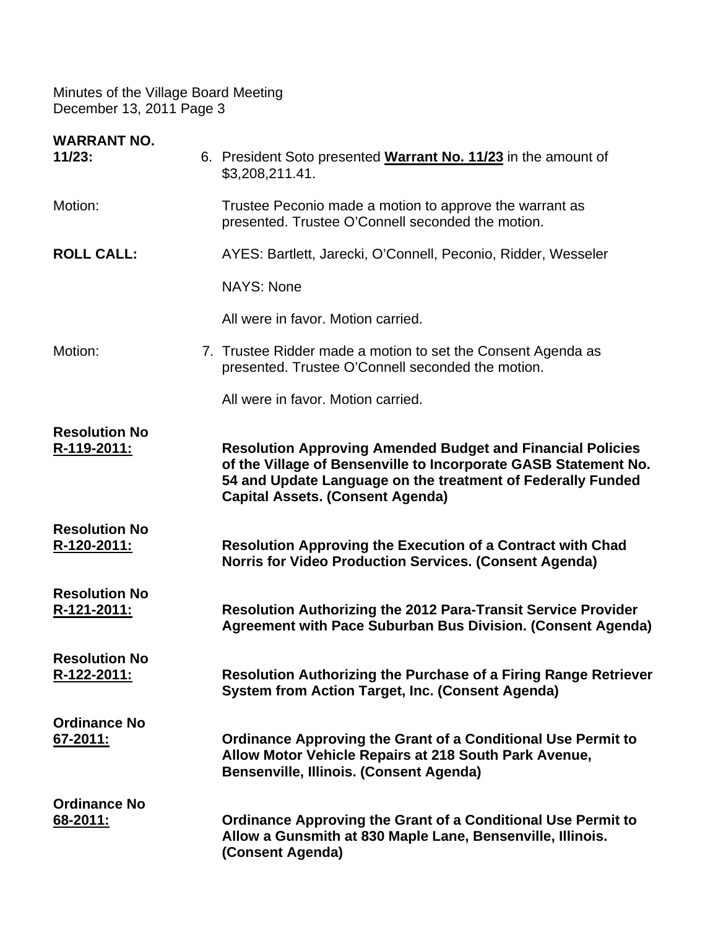| <b>WARRANT NO.</b><br>11/23:               | 6. President Soto presented Warrant No. 11/23 in the amount of<br>\$3,208,211.41.                                                                                                                                                              |
|--------------------------------------------|------------------------------------------------------------------------------------------------------------------------------------------------------------------------------------------------------------------------------------------------|
| Motion:                                    | Trustee Peconio made a motion to approve the warrant as<br>presented. Trustee O'Connell seconded the motion.                                                                                                                                   |
| <b>ROLL CALL:</b>                          | AYES: Bartlett, Jarecki, O'Connell, Peconio, Ridder, Wesseler                                                                                                                                                                                  |
|                                            | <b>NAYS: None</b>                                                                                                                                                                                                                              |
|                                            | All were in favor. Motion carried.                                                                                                                                                                                                             |
| Motion:                                    | 7. Trustee Ridder made a motion to set the Consent Agenda as<br>presented. Trustee O'Connell seconded the motion.                                                                                                                              |
|                                            | All were in favor. Motion carried.                                                                                                                                                                                                             |
| <b>Resolution No</b><br>R-119-2011:        | <b>Resolution Approving Amended Budget and Financial Policies</b><br>of the Village of Bensenville to Incorporate GASB Statement No.<br>54 and Update Language on the treatment of Federally Funded<br><b>Capital Assets. (Consent Agenda)</b> |
| <b>Resolution No</b><br><u>R-120-2011:</u> | <b>Resolution Approving the Execution of a Contract with Chad</b><br><b>Norris for Video Production Services. (Consent Agenda)</b>                                                                                                             |
| <b>Resolution No</b><br>R-121-2011:        | <b>Resolution Authorizing the 2012 Para-Transit Service Provider</b><br>Agreement with Pace Suburban Bus Division. (Consent Agenda)                                                                                                            |
| <b>Resolution No</b><br>R-122-2011:        | <b>Resolution Authorizing the Purchase of a Firing Range Retriever</b><br>System from Action Target, Inc. (Consent Agenda)                                                                                                                     |
| <b>Ordinance No</b><br>67-2011:            | <b>Ordinance Approving the Grant of a Conditional Use Permit to</b><br>Allow Motor Vehicle Repairs at 218 South Park Avenue,<br><b>Bensenville, Illinois. (Consent Agenda)</b>                                                                 |
| <b>Ordinance No</b><br><u>68-2011:</u>     | <b>Ordinance Approving the Grant of a Conditional Use Permit to</b><br>Allow a Gunsmith at 830 Maple Lane, Bensenville, Illinois.<br>(Consent Agenda)                                                                                          |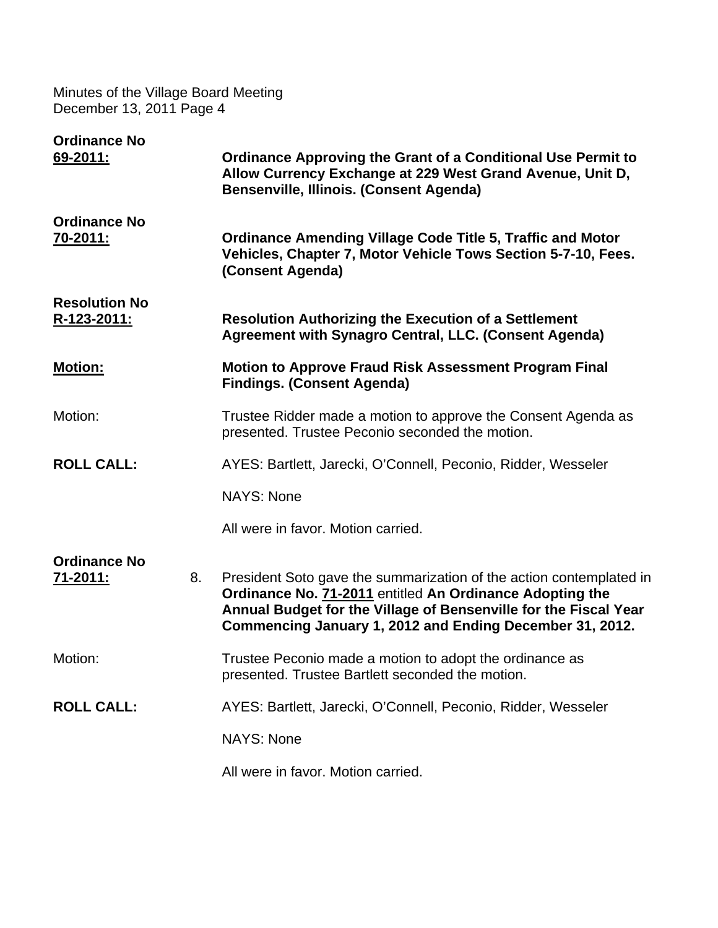| <b>Ordinance No</b><br><u>69-2011:</u> |    | <b>Ordinance Approving the Grant of a Conditional Use Permit to</b><br>Allow Currency Exchange at 229 West Grand Avenue, Unit D,<br>Bensenville, Illinois. (Consent Agenda)                                                                                     |
|----------------------------------------|----|-----------------------------------------------------------------------------------------------------------------------------------------------------------------------------------------------------------------------------------------------------------------|
| <b>Ordinance No</b><br>70-2011:        |    | <b>Ordinance Amending Village Code Title 5, Traffic and Motor</b><br>Vehicles, Chapter 7, Motor Vehicle Tows Section 5-7-10, Fees.<br>(Consent Agenda)                                                                                                          |
| <b>Resolution No</b><br>R-123-2011:    |    | <b>Resolution Authorizing the Execution of a Settlement</b><br>Agreement with Synagro Central, LLC. (Consent Agenda)                                                                                                                                            |
| <b>Motion:</b>                         |    | <b>Motion to Approve Fraud Risk Assessment Program Final</b><br><b>Findings. (Consent Agenda)</b>                                                                                                                                                               |
| Motion:                                |    | Trustee Ridder made a motion to approve the Consent Agenda as<br>presented. Trustee Peconio seconded the motion.                                                                                                                                                |
| <b>ROLL CALL:</b>                      |    | AYES: Bartlett, Jarecki, O'Connell, Peconio, Ridder, Wesseler                                                                                                                                                                                                   |
|                                        |    | <b>NAYS: None</b>                                                                                                                                                                                                                                               |
|                                        |    | All were in favor. Motion carried.                                                                                                                                                                                                                              |
| <b>Ordinance No</b><br><u>71-2011:</u> | 8. | President Soto gave the summarization of the action contemplated in<br>Ordinance No. 71-2011 entitled An Ordinance Adopting the<br>Annual Budget for the Village of Bensenville for the Fiscal Year<br>Commencing January 1, 2012 and Ending December 31, 2012. |
| Motion:                                |    | Trustee Peconio made a motion to adopt the ordinance as<br>presented. Trustee Bartlett seconded the motion.                                                                                                                                                     |
| <b>ROLL CALL:</b>                      |    | AYES: Bartlett, Jarecki, O'Connell, Peconio, Ridder, Wesseler                                                                                                                                                                                                   |
|                                        |    | <b>NAYS: None</b>                                                                                                                                                                                                                                               |
|                                        |    | All were in favor. Motion carried.                                                                                                                                                                                                                              |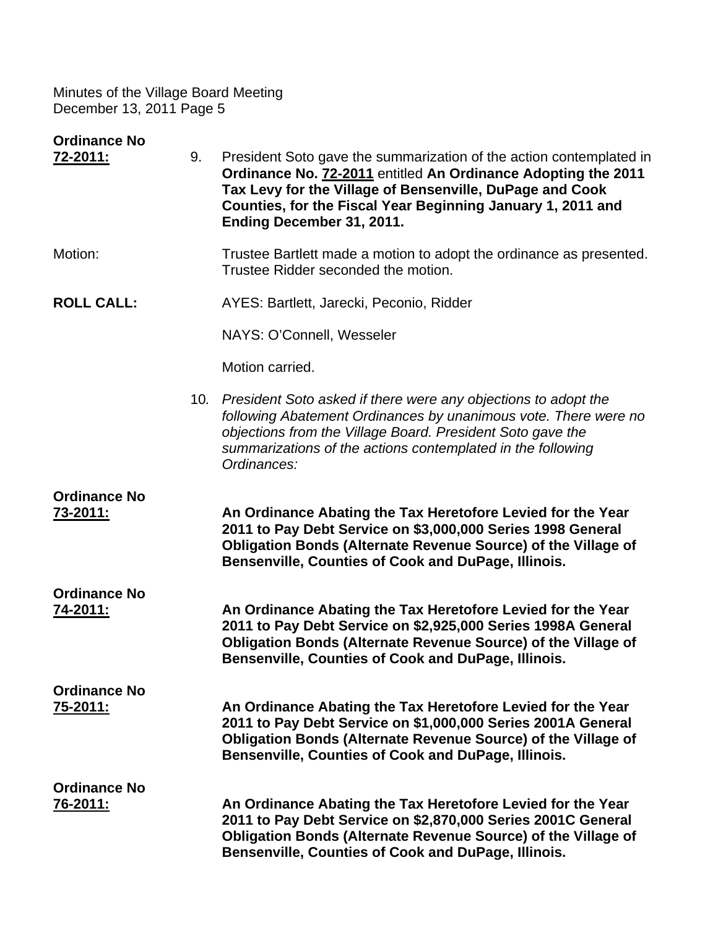| <b>Ordinance No</b><br><u>72-2011:</u> | 9. | President Soto gave the summarization of the action contemplated in<br>Ordinance No. 72-2011 entitled An Ordinance Adopting the 2011<br>Tax Levy for the Village of Bensenville, DuPage and Cook<br>Counties, for the Fiscal Year Beginning January 1, 2011 and<br>Ending December 31, 2011. |
|----------------------------------------|----|----------------------------------------------------------------------------------------------------------------------------------------------------------------------------------------------------------------------------------------------------------------------------------------------|
| Motion:                                |    | Trustee Bartlett made a motion to adopt the ordinance as presented.<br>Trustee Ridder seconded the motion.                                                                                                                                                                                   |
| <b>ROLL CALL:</b>                      |    | AYES: Bartlett, Jarecki, Peconio, Ridder                                                                                                                                                                                                                                                     |
|                                        |    | NAYS: O'Connell, Wesseler                                                                                                                                                                                                                                                                    |
|                                        |    | Motion carried.                                                                                                                                                                                                                                                                              |
|                                        |    | 10. President Soto asked if there were any objections to adopt the<br>following Abatement Ordinances by unanimous vote. There were no<br>objections from the Village Board. President Soto gave the<br>summarizations of the actions contemplated in the following<br>Ordinances:            |
| <b>Ordinance No</b><br><u>73-2011:</u> |    | An Ordinance Abating the Tax Heretofore Levied for the Year<br>2011 to Pay Debt Service on \$3,000,000 Series 1998 General<br><b>Obligation Bonds (Alternate Revenue Source) of the Village of</b><br>Bensenville, Counties of Cook and DuPage, Illinois.                                    |
| <b>Ordinance No</b><br>74-2011:        |    | An Ordinance Abating the Tax Heretofore Levied for the Year<br>2011 to Pay Debt Service on \$2,925,000 Series 1998A General<br><b>Obligation Bonds (Alternate Revenue Source) of the Village of</b><br>Bensenville, Counties of Cook and DuPage, Illinois.                                   |
| <b>Ordinance No</b><br>75-2011:        |    | An Ordinance Abating the Tax Heretofore Levied for the Year<br>2011 to Pay Debt Service on \$1,000,000 Series 2001A General<br>Obligation Bonds (Alternate Revenue Source) of the Village of<br>Bensenville, Counties of Cook and DuPage, Illinois.                                          |
| <b>Ordinance No</b><br><u>76-2011:</u> |    | An Ordinance Abating the Tax Heretofore Levied for the Year<br>2011 to Pay Debt Service on \$2,870,000 Series 2001C General<br><b>Obligation Bonds (Alternate Revenue Source) of the Village of</b><br>Bensenville, Counties of Cook and DuPage, Illinois.                                   |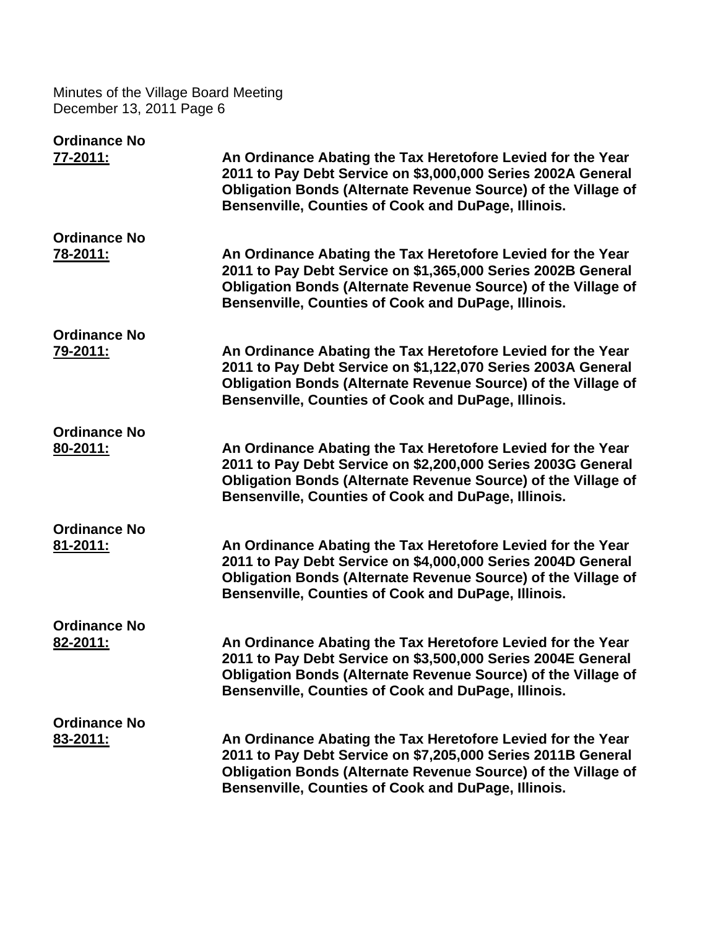| <b>Ordinance No</b> |                                                                                                                                                                                                                                                            |
|---------------------|------------------------------------------------------------------------------------------------------------------------------------------------------------------------------------------------------------------------------------------------------------|
| <u>77-2011:</u>     | An Ordinance Abating the Tax Heretofore Levied for the Year<br>2011 to Pay Debt Service on \$3,000,000 Series 2002A General<br>Obligation Bonds (Alternate Revenue Source) of the Village of<br>Bensenville, Counties of Cook and DuPage, Illinois.        |
| <b>Ordinance No</b> |                                                                                                                                                                                                                                                            |
| 78-2011:            | An Ordinance Abating the Tax Heretofore Levied for the Year<br>2011 to Pay Debt Service on \$1,365,000 Series 2002B General<br><b>Obligation Bonds (Alternate Revenue Source) of the Village of</b><br>Bensenville, Counties of Cook and DuPage, Illinois. |
| <b>Ordinance No</b> |                                                                                                                                                                                                                                                            |
| 79-2011:            | An Ordinance Abating the Tax Heretofore Levied for the Year<br>2011 to Pay Debt Service on \$1,122,070 Series 2003A General<br><b>Obligation Bonds (Alternate Revenue Source) of the Village of</b><br>Bensenville, Counties of Cook and DuPage, Illinois. |
| <b>Ordinance No</b> |                                                                                                                                                                                                                                                            |
| 80-2011:            | An Ordinance Abating the Tax Heretofore Levied for the Year<br>2011 to Pay Debt Service on \$2,200,000 Series 2003G General<br><b>Obligation Bonds (Alternate Revenue Source) of the Village of</b><br>Bensenville, Counties of Cook and DuPage, Illinois. |
| <b>Ordinance No</b> |                                                                                                                                                                                                                                                            |
| 81-2011:            | An Ordinance Abating the Tax Heretofore Levied for the Year<br>2011 to Pay Debt Service on \$4,000,000 Series 2004D General<br>Obligation Bonds (Alternate Revenue Source) of the Village of<br>Bensenville, Counties of Cook and DuPage, Illinois.        |
| <b>Ordinance No</b> |                                                                                                                                                                                                                                                            |
| 82-2011:            | An Ordinance Abating the Tax Heretofore Levied for the Year<br>2011 to Pay Debt Service on \$3,500,000 Series 2004E General<br><b>Obligation Bonds (Alternate Revenue Source) of the Village of</b><br>Bensenville, Counties of Cook and DuPage, Illinois. |
| <b>Ordinance No</b> |                                                                                                                                                                                                                                                            |
| 83-2011:            | An Ordinance Abating the Tax Heretofore Levied for the Year<br>2011 to Pay Debt Service on \$7,205,000 Series 2011B General<br><b>Obligation Bonds (Alternate Revenue Source) of the Village of</b><br>Bensenville, Counties of Cook and DuPage, Illinois. |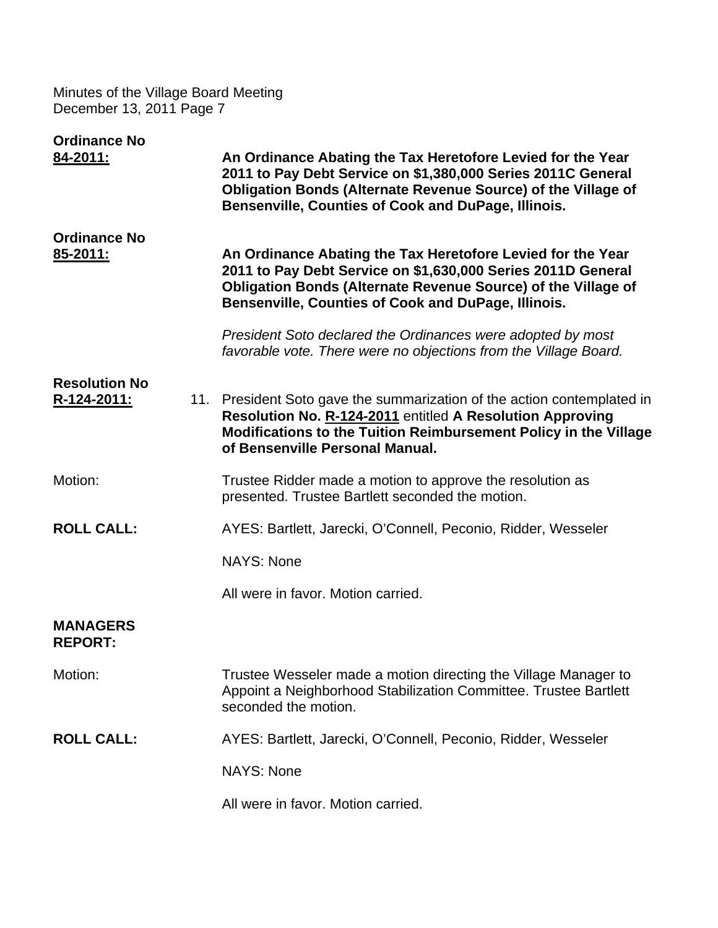| <b>Ordinance No</b><br>84-2011:        | An Ordinance Abating the Tax Heretofore Levied for the Year<br>2011 to Pay Debt Service on \$1,380,000 Series 2011C General<br>Obligation Bonds (Alternate Revenue Source) of the Village of<br>Bensenville, Counties of Cook and DuPage, Illinois. |
|----------------------------------------|-----------------------------------------------------------------------------------------------------------------------------------------------------------------------------------------------------------------------------------------------------|
| <b>Ordinance No</b><br><u>85-2011:</u> | An Ordinance Abating the Tax Heretofore Levied for the Year<br>2011 to Pay Debt Service on \$1,630,000 Series 2011D General<br>Obligation Bonds (Alternate Revenue Source) of the Village of<br>Bensenville, Counties of Cook and DuPage, Illinois. |
|                                        | President Soto declared the Ordinances were adopted by most<br>favorable vote. There were no objections from the Village Board.                                                                                                                     |
| <b>Resolution No</b><br>R-124-2011:    | 11. President Soto gave the summarization of the action contemplated in<br>Resolution No. R-124-2011 entitled A Resolution Approving<br>Modifications to the Tuition Reimbursement Policy in the Village<br>of Bensenville Personal Manual.         |
| Motion:                                | Trustee Ridder made a motion to approve the resolution as<br>presented. Trustee Bartlett seconded the motion.                                                                                                                                       |
| <b>ROLL CALL:</b>                      | AYES: Bartlett, Jarecki, O'Connell, Peconio, Ridder, Wesseler                                                                                                                                                                                       |
|                                        | <b>NAYS: None</b>                                                                                                                                                                                                                                   |
|                                        | All were in favor. Motion carried.                                                                                                                                                                                                                  |
| <b>MANAGERS</b><br><b>REPORT:</b>      |                                                                                                                                                                                                                                                     |
| Motion:                                | Trustee Wesseler made a motion directing the Village Manager to<br>Appoint a Neighborhood Stabilization Committee. Trustee Bartlett<br>seconded the motion.                                                                                         |
| <b>ROLL CALL:</b>                      | AYES: Bartlett, Jarecki, O'Connell, Peconio, Ridder, Wesseler                                                                                                                                                                                       |
|                                        | <b>NAYS: None</b>                                                                                                                                                                                                                                   |
|                                        | All were in favor. Motion carried.                                                                                                                                                                                                                  |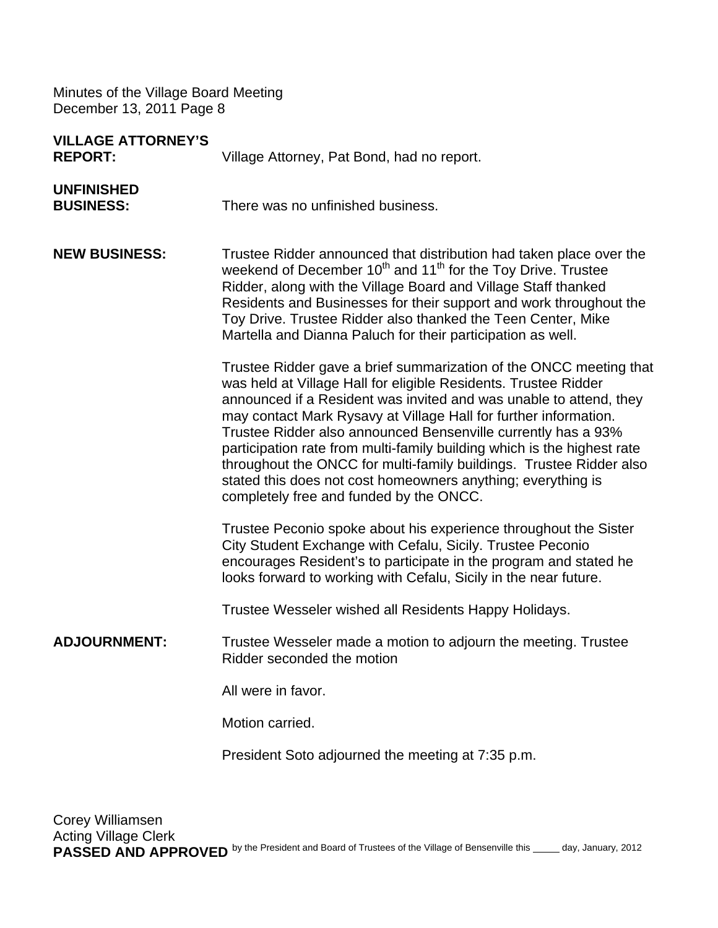| <b>VILLAGE ATTORNEY'S</b><br><b>REPORT:</b> | Village Attorney, Pat Bond, had no report.                                                                                                                                                                                                                                                                                                                                                                                                                                                                                                                                                                    |
|---------------------------------------------|---------------------------------------------------------------------------------------------------------------------------------------------------------------------------------------------------------------------------------------------------------------------------------------------------------------------------------------------------------------------------------------------------------------------------------------------------------------------------------------------------------------------------------------------------------------------------------------------------------------|
| <b>UNFINISHED</b><br><b>BUSINESS:</b>       | There was no unfinished business.                                                                                                                                                                                                                                                                                                                                                                                                                                                                                                                                                                             |
| <b>NEW BUSINESS:</b>                        | Trustee Ridder announced that distribution had taken place over the<br>weekend of December 10 <sup>th</sup> and 11 <sup>th</sup> for the Toy Drive. Trustee<br>Ridder, along with the Village Board and Village Staff thanked<br>Residents and Businesses for their support and work throughout the<br>Toy Drive. Trustee Ridder also thanked the Teen Center, Mike<br>Martella and Dianna Paluch for their participation as well.                                                                                                                                                                            |
|                                             | Trustee Ridder gave a brief summarization of the ONCC meeting that<br>was held at Village Hall for eligible Residents. Trustee Ridder<br>announced if a Resident was invited and was unable to attend, they<br>may contact Mark Rysavy at Village Hall for further information.<br>Trustee Ridder also announced Bensenville currently has a 93%<br>participation rate from multi-family building which is the highest rate<br>throughout the ONCC for multi-family buildings. Trustee Ridder also<br>stated this does not cost homeowners anything; everything is<br>completely free and funded by the ONCC. |
|                                             | Trustee Peconio spoke about his experience throughout the Sister<br>City Student Exchange with Cefalu, Sicily. Trustee Peconio<br>encourages Resident's to participate in the program and stated he<br>looks forward to working with Cefalu, Sicily in the near future.                                                                                                                                                                                                                                                                                                                                       |
|                                             | Trustee Wesseler wished all Residents Happy Holidays.                                                                                                                                                                                                                                                                                                                                                                                                                                                                                                                                                         |
| <b>ADJOURNMENT:</b>                         | Trustee Wesseler made a motion to adjourn the meeting. Trustee<br>Ridder seconded the motion                                                                                                                                                                                                                                                                                                                                                                                                                                                                                                                  |
|                                             | All were in favor.                                                                                                                                                                                                                                                                                                                                                                                                                                                                                                                                                                                            |
|                                             | Motion carried.                                                                                                                                                                                                                                                                                                                                                                                                                                                                                                                                                                                               |
|                                             | President Soto adjourned the meeting at 7:35 p.m.                                                                                                                                                                                                                                                                                                                                                                                                                                                                                                                                                             |
|                                             |                                                                                                                                                                                                                                                                                                                                                                                                                                                                                                                                                                                                               |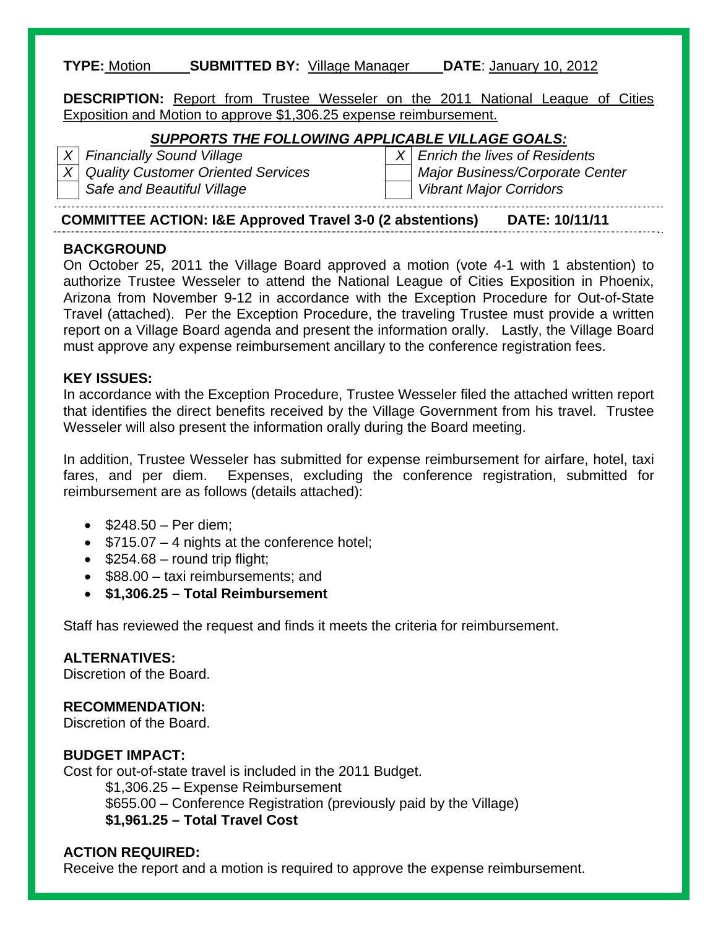#### **TYPE:** Motion **SUBMITTED BY:** Village Manager **DATE**: January 10, 2012

**DESCRIPTION:** Report from Trustee Wesseler on the 2011 National League of Cities Exposition and Motion to approve \$1,306.25 expense reimbursement.

#### *SUPPORTS THE FOLLOWING APPLICABLE VILLAGE GOALS:*

*X Financially Sound Village X Enrich the lives of Residents X* Quality Customer Oriented Services Major Business/Corporate Center Safe and Beautiful Village Vibrant Major Corridors

**COMMITTEE ACTION: I&E Approved Travel 3-0 (2 abstentions) DATE: 10/11/11** 

#### **BACKGROUND**

On October 25, 2011 the Village Board approved a motion (vote 4-1 with 1 abstention) to authorize Trustee Wesseler to attend the National League of Cities Exposition in Phoenix, Arizona from November 9-12 in accordance with the Exception Procedure for Out-of-State Travel (attached). Per the Exception Procedure, the traveling Trustee must provide a written report on a Village Board agenda and present the information orally. Lastly, the Village Board must approve any expense reimbursement ancillary to the conference registration fees.

#### **KEY ISSUES:**

In accordance with the Exception Procedure, Trustee Wesseler filed the attached written report that identifies the direct benefits received by the Village Government from his travel. Trustee Wesseler will also present the information orally during the Board meeting.

In addition, Trustee Wesseler has submitted for expense reimbursement for airfare, hotel, taxi fares, and per diem. Expenses, excluding the conference registration, submitted for reimbursement are as follows (details attached):

- $\bullet$  \$248.50 Per diem;
- $\bullet$  \$715.07 4 nights at the conference hotel;
- $\bullet$  \$254.68 round trip flight;
- \$88.00 taxi reimbursements; and
- **\$1,306.25 Total Reimbursement**

Staff has reviewed the request and finds it meets the criteria for reimbursement.

## **ALTERNATIVES:**

Discretion of the Board.

## **RECOMMENDATION:**

Discretion of the Board.

#### **BUDGET IMPACT:**

Cost for out-of-state travel is included in the 2011 Budget. \$1,306.25 – Expense Reimbursement \$655.00 – Conference Registration (previously paid by the Village) **\$1,961.25 – Total Travel Cost**

## **ACTION REQUIRED:**

Receive the report and a motion is required to approve the expense reimbursement.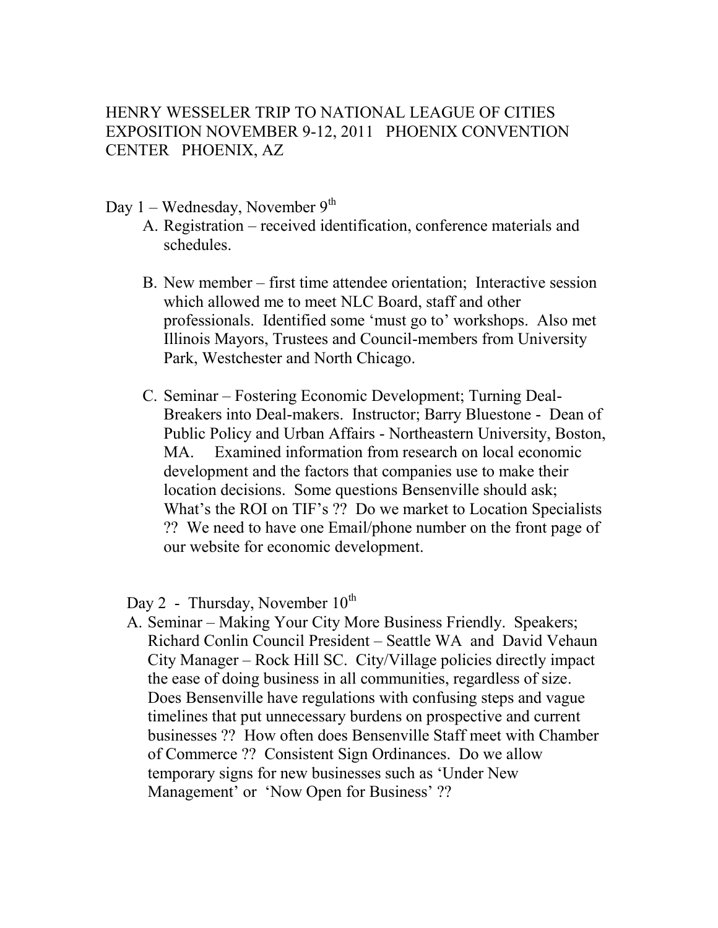## HENRY WESSELER TRIP TO NATIONAL LEAGUE OF CITIES EXPOSITION NOVEMBER 9-12, 2011 PHOENIX CONVENTION CENTER PHOENIX, AZ

## Day  $1$  – Wednesday, November  $9<sup>th</sup>$

- A. Registration received identification, conference materials and schedules.
- B. New member first time attendee orientation; Interactive session which allowed me to meet NLC Board, staff and other professionals. Identified some 'must go to' workshops. Also met Illinois Mayors, Trustees and Council-members from University Park, Westchester and North Chicago.
- C. Seminar Fostering Economic Development; Turning Deal-Breakers into Deal-makers. Instructor; Barry Bluestone - Dean of Public Policy and Urban Affairs - Northeastern University, Boston, MA. Examined information from research on local economic development and the factors that companies use to make their location decisions. Some questions Bensenville should ask; What's the ROI on TIF's ?? Do we market to Location Specialists ?? We need to have one Email/phone number on the front page of our website for economic development.

Day 2 - Thursday, November  $10^{th}$ 

A. Seminar – Making Your City More Business Friendly. Speakers; Richard Conlin Council President – Seattle WA and David Vehaun City Manager – Rock Hill SC. City/Village policies directly impact the ease of doing business in all communities, regardless of size. Does Bensenville have regulations with confusing steps and vague timelines that put unnecessary burdens on prospective and current businesses ?? How often does Bensenville Staff meet with Chamber of Commerce ?? Consistent Sign Ordinances. Do we allow temporary signs for new businesses such as 'Under New Management' or 'Now Open for Business' ??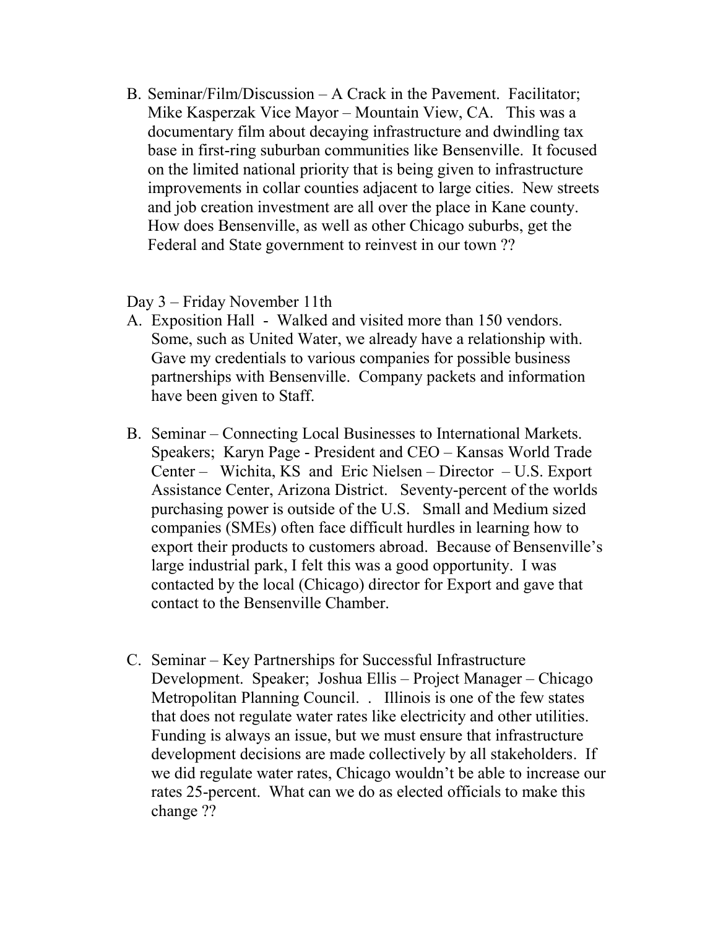B. Seminar/Film/Discussion – A Crack in the Pavement. Facilitator; Mike Kasperzak Vice Mayor – Mountain View, CA. This was a documentary film about decaying infrastructure and dwindling tax base in first-ring suburban communities like Bensenville. It focused on the limited national priority that is being given to infrastructure improvements in collar counties adjacent to large cities. New streets and job creation investment are all over the place in Kane county. How does Bensenville, as well as other Chicago suburbs, get the Federal and State government to reinvest in our town ??

Day 3 – Friday November 11th

- A. Exposition Hall Walked and visited more than 150 vendors. Some, such as United Water, we already have a relationship with. Gave my credentials to various companies for possible business partnerships with Bensenville. Company packets and information have been given to Staff.
- B. Seminar Connecting Local Businesses to International Markets. Speakers; Karyn Page - President and CEO – Kansas World Trade Center – Wichita, KS and Eric Nielsen – Director – U.S. Export Assistance Center, Arizona District. Seventy-percent of the worlds purchasing power is outside of the U.S. Small and Medium sized companies (SMEs) often face difficult hurdles in learning how to export their products to customers abroad. Because of Bensenville's large industrial park, I felt this was a good opportunity. I was contacted by the local (Chicago) director for Export and gave that contact to the Bensenville Chamber.
- C. Seminar Key Partnerships for Successful Infrastructure Development. Speaker; Joshua Ellis – Project Manager – Chicago Metropolitan Planning Council. . Illinois is one of the few states that does not regulate water rates like electricity and other utilities. Funding is always an issue, but we must ensure that infrastructure development decisions are made collectively by all stakeholders. If we did regulate water rates, Chicago wouldn't be able to increase our rates 25-percent. What can we do as elected officials to make this change ??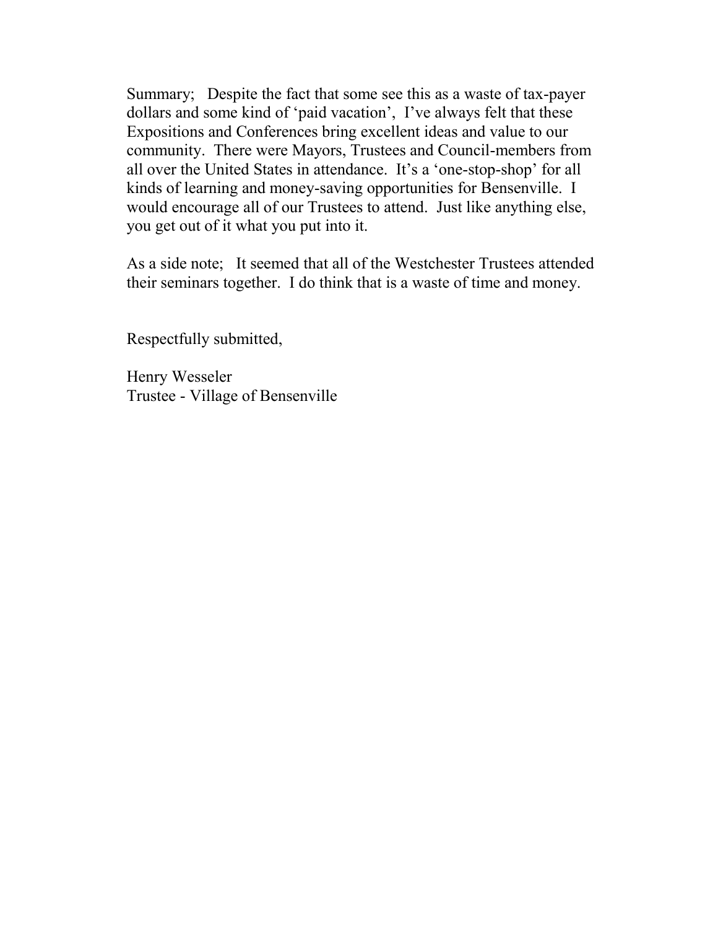Summary; Despite the fact that some see this as a waste of tax-payer dollars and some kind of 'paid vacation', I've always felt that these Expositions and Conferences bring excellent ideas and value to our community. There were Mayors, Trustees and Council-members from all over the United States in attendance. It's a 'one-stop-shop' for all kinds of learning and money-saving opportunities for Bensenville. I would encourage all of our Trustees to attend. Just like anything else, you get out of it what you put into it.

As a side note; It seemed that all of the Westchester Trustees attended their seminars together. I do think that is a waste of time and money.

Respectfully submitted,

Henry Wesseler Trustee - Village of Bensenville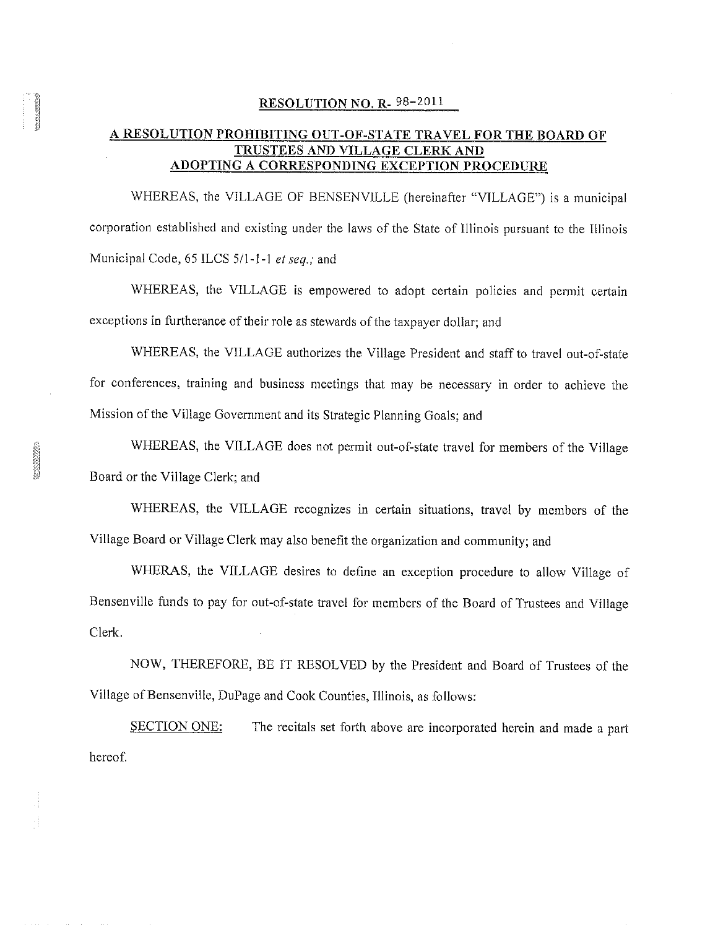#### RESOLUTION NO. R-98-2011

#### A RESOLUTION PROHIBITING OUT-OF-STATE TRAVEL FOR THE BOARD OF TRUSTEES AND VILLAGE CLERK AND ADOPTING A CORRESPONDING EXCEPTION PROCEDURE

WHEREAS, the VILLAGE OF BENSENVILLE (hereinafter "VILLAGE") is a municipal corporation established and existing under the laws of the State of Illinois pursuant to the Illinois Municipal Code, 65 ILCS 5/1-1-1 et seq.; and

WHEREAS, the VILLAGE is empowered to adopt certain policies and permit certain exceptions in furtherance of their role as stewards of the taxpayer dollar; and

WHEREAS, the VILLAGE authorizes the Village President and staff to travel out-of-state for conferences, training and business meetings that may be necessary in order to achieve the Mission of the Village Government and its Strategic Planning Goals; and

WHEREAS, the VILLAGE does not permit out-of-state travel for members of the Village Board or the Village Clerk; and

WHEREAS, the VILLAGE recognizes in certain situations, travel by members of the Village Board or Village Clerk may also benefit the organization and community; and

WHERAS, the VILLAGE desires to define an exception procedure to allow Village of Bensenville funds to pay for out-of-state travel for members of the Board of Trustees and Village Clerk.

NOW, THEREFORE, BE IT RESOLVED by the President and Board of Trustees of the Village of Bensenville, DuPage and Cook Counties, Illinois, as follows:

SECTION ONE: The recitals set forth above are incorporated herein and made a part hereof.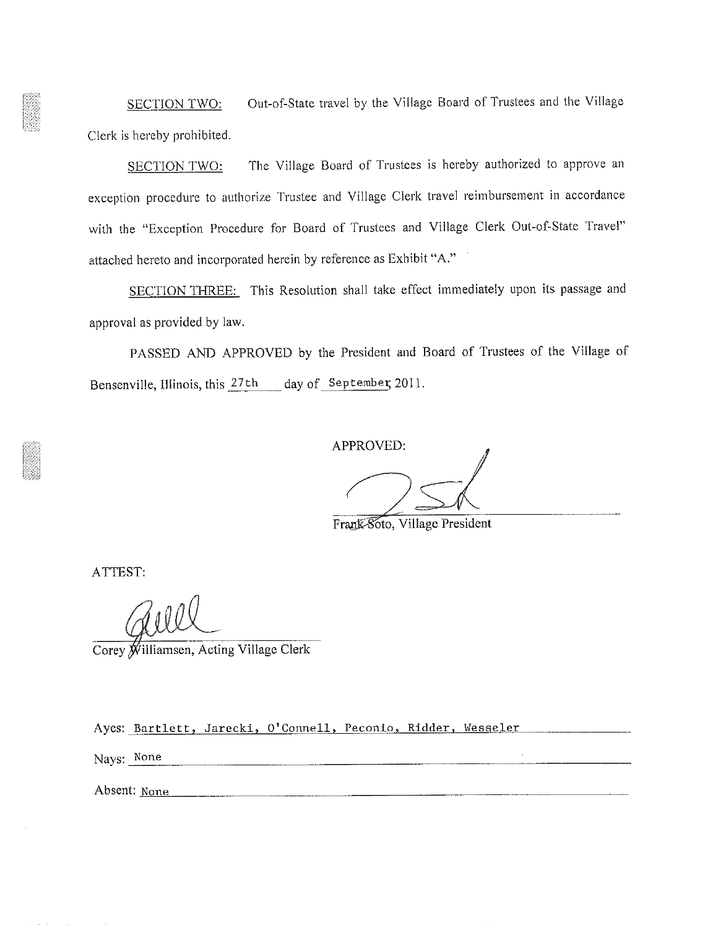Out-of-State travel by the Village Board of Trustees and the Village **SECTION TWO:** Clerk is hereby prohibited.

The Village Board of Trustees is hereby authorized to approve an **SECTION TWO:** exception procedure to authorize Trustee and Village Clerk travel reimbursement in accordance with the "Exception Procedure for Board of Trustees and Village Clerk Out-of-State Travel" attached hereto and incorporated herein by reference as Exhibit "A."

SECTION THREE: This Resolution shall take effect immediately upon its passage and approval as provided by law.

PASSED AND APPROVED by the President and Board of Trustees of the Village of Bensenville, Illinois, this 27th day of September, 2011.

APPROVED:

Frank Soto, Village President

ATTEST:

Corey Williamsen, Acting Village Clerk

Ayes: Bartlett, Jarecki, O'Connell, Peconio, Ridder, Wesseler

Nays: None

Absent: None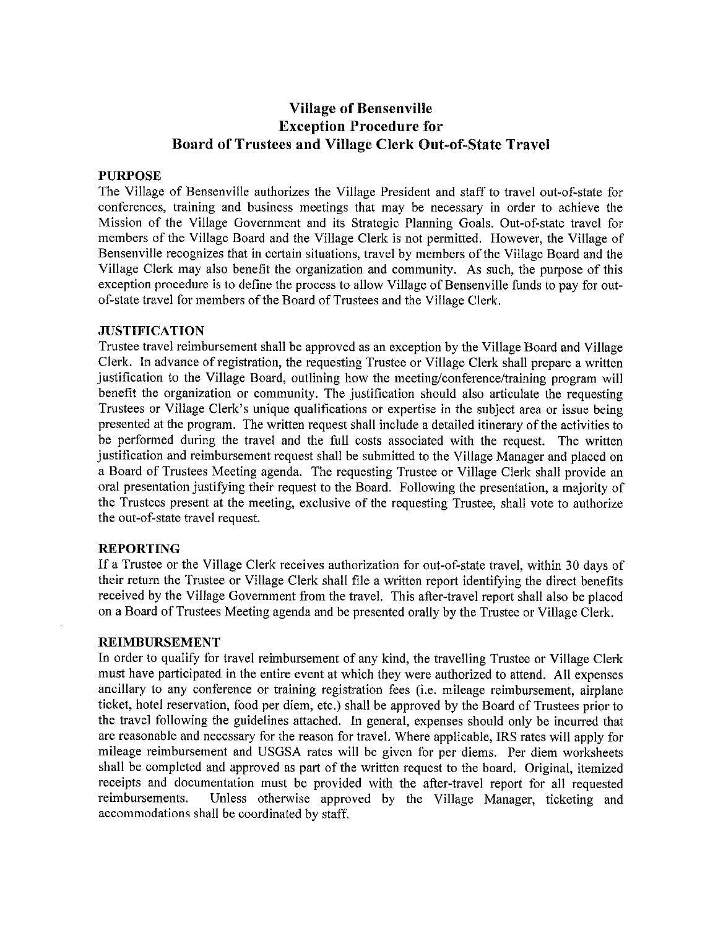## **Village of Bensenville Exception Procedure for** Board of Trustees and Village Clerk Out-of-State Travel

#### **PURPOSE**

The Village of Bensenville authorizes the Village President and staff to travel out-of-state for conferences, training and business meetings that may be necessary in order to achieve the Mission of the Village Government and its Strategic Planning Goals. Out-of-state travel for members of the Village Board and the Village Clerk is not permitted. However, the Village of Bensenville recognizes that in certain situations, travel by members of the Village Board and the Village Clerk may also benefit the organization and community. As such, the purpose of this exception procedure is to define the process to allow Village of Bensenville funds to pay for outof-state travel for members of the Board of Trustees and the Village Clerk.

#### **JUSTIFICATION**

Trustee travel reimbursement shall be approved as an exception by the Village Board and Village Clerk. In advance of registration, the requesting Trustee or Village Clerk shall prepare a written justification to the Village Board, outlining how the meeting/conference/training program will benefit the organization or community. The justification should also articulate the requesting Trustees or Village Clerk's unique qualifications or expertise in the subject area or issue being presented at the program. The written request shall include a detailed itinerary of the activities to be performed during the travel and the full costs associated with the request. The written justification and reimbursement request shall be submitted to the Village Manager and placed on a Board of Trustees Meeting agenda. The requesting Trustee or Village Clerk shall provide an oral presentation justifying their request to the Board. Following the presentation, a majority of the Trustees present at the meeting, exclusive of the requesting Trustee, shall vote to authorize the out-of-state travel request.

#### **REPORTING**

If a Trustee or the Village Clerk receives authorization for out-of-state travel, within 30 days of their return the Trustee or Village Clerk shall file a written report identifying the direct benefits received by the Village Government from the travel. This after-travel report shall also be placed on a Board of Trustees Meeting agenda and be presented orally by the Trustee or Village Clerk.

#### **REIMBURSEMENT**

In order to qualify for travel reimbursement of any kind, the travelling Trustee or Village Clerk must have participated in the entire event at which they were authorized to attend. All expenses ancillary to any conference or training registration fees (i.e. mileage reimbursement, airplane ticket, hotel reservation, food per diem, etc.) shall be approved by the Board of Trustees prior to the travel following the guidelines attached. In general, expenses should only be incurred that are reasonable and necessary for the reason for travel. Where applicable, IRS rates will apply for mileage reimbursement and USGSA rates will be given for per diems. Per diem worksheets shall be completed and approved as part of the written request to the board. Original, itemized receipts and documentation must be provided with the after-travel report for all requested reimbursements. Unless otherwise approved by the Village Manager, ticketing and accommodations shall be coordinated by staff.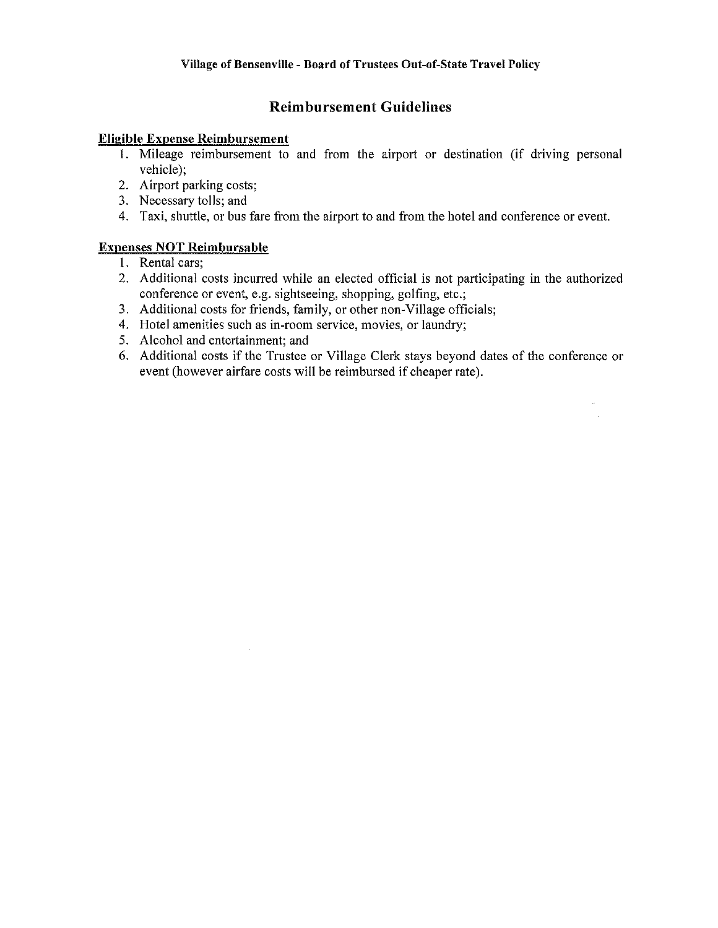### **Reimbursement Guidelines**

#### **Eligible Expense Reimbursement**

- 1. Mileage reimbursement to and from the airport or destination (if driving personal vehicle);
- 2. Airport parking costs:
- 3. Necessary tolls; and
- 4. Taxi, shuttle, or bus fare from the airport to and from the hotel and conference or event.

#### **Expenses NOT Reimbursable**

- 1. Rental cars:
- 2. Additional costs incurred while an elected official is not participating in the authorized conference or event, e.g. sightseeing, shopping, golfing, etc.;
- 3. Additional costs for friends, family, or other non-Village officials;
- 4. Hotel amenities such as in-room service, movies, or laundry;
- 5. Alcohol and entertainment; and
- 6. Additional costs if the Trustee or Village Clerk stays beyond dates of the conference or event (however airfare costs will be reimbursed if cheaper rate).

 $\hat{\rho}$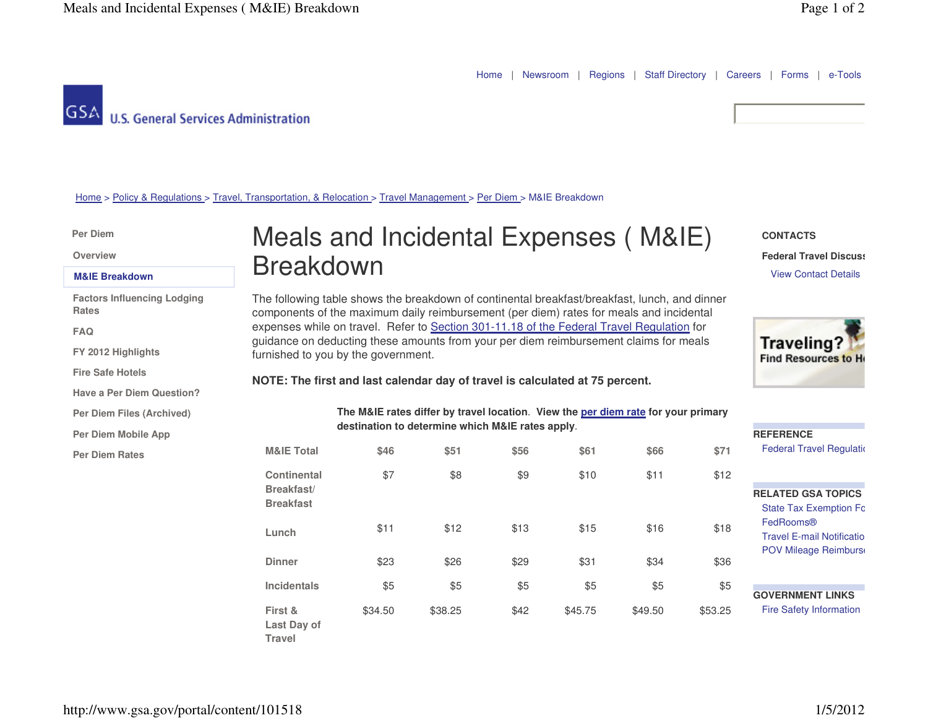Home | Newsroom <sup>|</sup> Regions <sup>|</sup> Staff Directory | Careers <sup>|</sup> Forms <sup>|</sup> e-Tools

**GSA U.S. General Services Administration** 

**CONTACTS**

Home > Policy & Regulations > Travel, Transportation, & Relocation > Travel Management > Per Diem > M&IE Breakdown

**Per Diem** 

**Overview**

#### **M&IE Breakdown**

**Factors Influencing Lodging Rates**

**FAQ**

**FY 2012 Highlights**

**Fire Safe Hotels**

**Have a Per Diem Question?**

**Per Diem Files (Archived)**

**Per Diem Mobile App**

**Per Diem Rates**

# Meals and Incidental Expenses ( M&IE) Breakdown

The following table shows the breakdown of continental breakfast/breakfast, lunch, and dinner components of the maximum daily reimbursement (per diem) rates for meals and incidental expenses while on travel. Refer to Section 301-11.18 of the Federal Travel Regulation for guidance on deducting these amounts from your per diem reimbursement claims for meals furnished to you by the government.

#### **NOTE: The first and last calendar day of travel is calculated at 75 percent.**

**The M&IE rates differ by travel location**. **View the per diem rate for your primary destination to determine which M&IE rates apply**.

| <b>M&amp;IE Total</b>                                | \$46    | \$51    | \$56 | \$61    | \$66    | \$71    |
|------------------------------------------------------|---------|---------|------|---------|---------|---------|
| <b>Continental</b><br>Breakfast/<br><b>Breakfast</b> | \$7     | \$8     | \$9  | \$10    | \$11    | \$12    |
| Lunch                                                | \$11    | \$12    | \$13 | \$15    | \$16    | \$18    |
| <b>Dinner</b>                                        | \$23    | \$26    | \$29 | \$31    | \$34    | \$36    |
| <b>Incidentals</b>                                   | \$5     | \$5     | \$5  | \$5     | \$5     | \$5     |
| First &<br>Last Day of<br><b>Travel</b>              | \$34.50 | \$38.25 | \$42 | \$45.75 | \$49.50 | \$53.25 |



**Federal Travel Discuss** View Contact Details

| <b>REFERENCE</b>                 |
|----------------------------------|
| <b>Federal Travel Requlation</b> |
|                                  |
|                                  |
|                                  |
| <b>RELATED GSA TOPICS</b>        |
| <b>State Tax Exemption Fo</b>    |
| FedRooms®                        |
| <b>Travel F-mail Notificatio</b> |
| <b>POV Mileage Reimburs</b>      |
|                                  |
|                                  |
|                                  |
| <b>GOVERNMENT LINKS</b>          |
| <b>Fire Safety Information</b>   |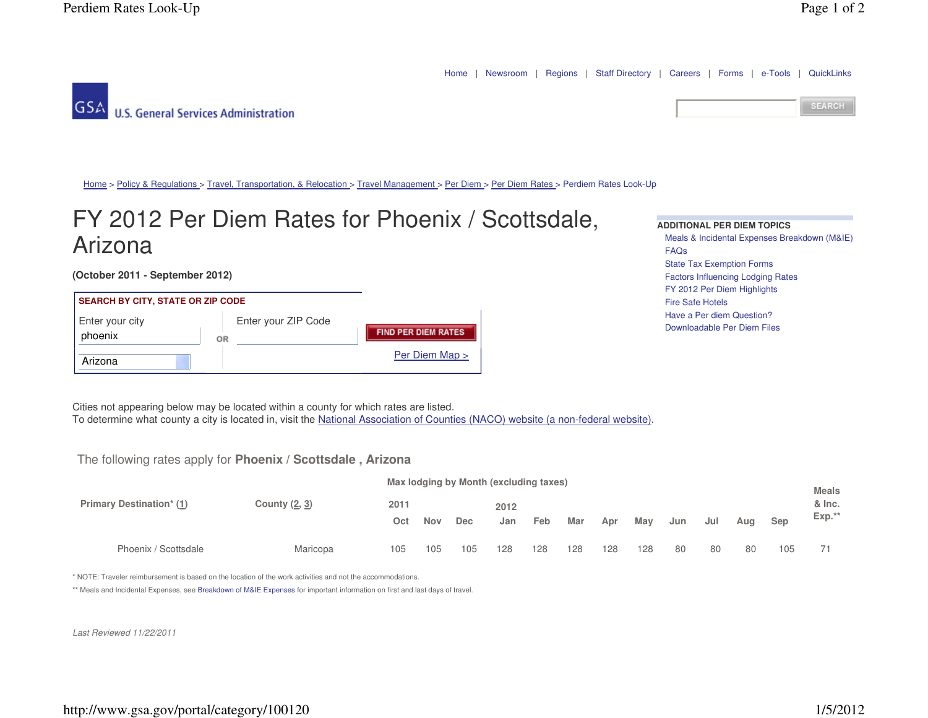Home | Newsroom <sup>|</sup> Regions <sup>|</sup> Staff Directory | Careers <sup>|</sup> Forms <sup>|</sup> e-Tools <sup>|</sup> QuickLinks





Home > Policy & Regulations > Travel, Transportation, & Relocation > Travel Management > Per Diem > Per Diem Rates > Perdiem Rates Look-Up

# FY 2012 Per Diem Rates for Phoenix / Scottsdale, Arizona

**(October 2011 - September 2012)**

### **SEARCH BY CITY, STATE OR ZIP CODE**

| Enter your city<br>phoenix | Enter your ZIP Code<br>OR | <b>FIND PER DIEM RATES</b> |
|----------------------------|---------------------------|----------------------------|
| Arizona                    |                           | Per Diem Map >             |

**ADDITIONAL PER DIEM TOPICS** Meals & Incidental Expenses Breakdown (M&IE)FAQs State Tax Exemption Forms Factors Influencing Lodging RatesFY 2012 Per Diem HighlightsFire Safe Hotels Have a Per diem Question?Downloadable Per Diem Files

Cities not appearing below may be located within a county for which rates are listed. To determine what county a city is located in, visit the National Association of Counties (NACO) website (a non-federal website).

#### The following rates apply for **Phoenix / Scottsdale , Arizona**

|                                 |               | Max lodging by Month (excluding taxes) |            |            |      |     |     |     |     |     |     |     |     |         |  |  |
|---------------------------------|---------------|----------------------------------------|------------|------------|------|-----|-----|-----|-----|-----|-----|-----|-----|---------|--|--|
| <b>Primary Destination* (1)</b> | County (2, 3) | 2011                                   |            |            | 2012 |     |     |     |     |     |     |     |     |         |  |  |
|                                 |               | Oct                                    | <b>Nov</b> | <b>Dec</b> | Jan  | Feb | Mar | Apr | May | Jun | Jul | Aua | Sep | $Exp.*$ |  |  |
| Phoenix / Scottsdale            | Maricopa      | 105                                    | 105        | 105        | 128  | 128 | 128 | 128 | 128 | 80  | 80  | 80  | 105 |         |  |  |

\* NOTE: Traveler reimbursement is based on the location of the work activities and not the accommodations.

\*\* Meals and Incidental Expenses, see Breakdown of M&IE Expenses for important information on first and last days of travel.

Last Reviewed 11/22/2011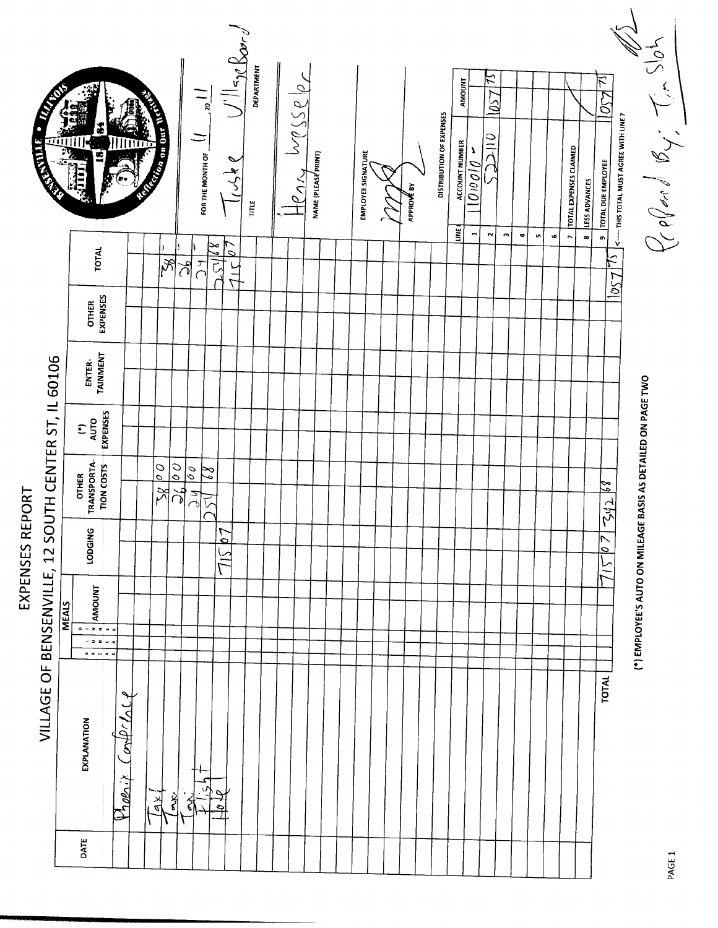|                 | <b>REGISTER</b>                                      |              | g                                                                    |                                        | <b>Experimental Company</b> |                                  |                                                                | FOR THE MONTH OF           | $\frac{1}{\sqrt{2\pi}}\log \frac{1}{2\sqrt{2}}$<br>$J_{\alpha}$ | īπ | DEPARTMENT | M(SSe)<br>$\frac{r}{2}$ | NAME (PLEASE PRINT) |  | <b>EMPLOYEE SIGNATURE</b> |  | APPROVÉ BY | <b>DISTRIBUTION OF EXPENSES</b> | <b>ACCOUNT NUMBER</b> | AMOUNT<br>$100000 -$ | $\approx$<br>1057<br>$\frac{1}{2}$ |          |                      |     |           | <b>TOTAL EXPENSES CLAIMED</b> | <b>LESS ADVANCES</b> | $\overline{\mathcal{F}}$<br>ర<br><b>&lt;---- THIS TOTAL MUST AGREE WITH LINE 7</b><br><b>TOTAL DUE EMPLOYEE</b> |                                                              | Zoffard By: Tim Slot |        |
|-----------------|------------------------------------------------------|--------------|----------------------------------------------------------------------|----------------------------------------|-----------------------------|----------------------------------|----------------------------------------------------------------|----------------------------|-----------------------------------------------------------------|----|------------|-------------------------|---------------------|--|---------------------------|--|------------|---------------------------------|-----------------------|----------------------|------------------------------------|----------|----------------------|-----|-----------|-------------------------------|----------------------|-----------------------------------------------------------------------------------------------------------------|--------------------------------------------------------------|----------------------|--------|
|                 |                                                      |              | <b>TOTAL</b>                                                         |                                        |                             | $ \mathcal{S} $                  | ৰ্খ                                                            | كالملا<br>$\sum_{\lambda}$ | $\mathcal{L}$<br>$\frac{1}{\sqrt{2}}$                           |    |            |                         |                     |  |                           |  |            |                                 | LINE)                 | $\blacksquare$       | $\sim$                             | $\omega$ | $\blacktriangledown$ | in, | $\bullet$ | $\overline{ }$                | $\infty$             | $\bullet$<br>$ \vec{r} $<br>1057                                                                                |                                                              |                      |        |
|                 |                                                      |              | <b>EXPENSES</b><br><b>OTHER</b>                                      |                                        |                             |                                  |                                                                |                            |                                                                 |    |            |                         |                     |  |                           |  |            |                                 |                       |                      |                                    |          |                      |     |           |                               |                      |                                                                                                                 |                                                              |                      |        |
|                 |                                                      |              | ENTER-<br>TAINMENT                                                   |                                        |                             |                                  |                                                                |                            |                                                                 |    |            |                         |                     |  |                           |  |            |                                 |                       |                      |                                    |          |                      |     |           |                               |                      |                                                                                                                 |                                                              |                      |        |
|                 |                                                      |              | $\begin{array}{c} (1) \\ \text{AUTO} \\ \text{RUPENSES} \end{array}$ |                                        |                             |                                  |                                                                |                            |                                                                 |    |            |                         |                     |  |                           |  |            |                                 |                       |                      |                                    |          |                      |     |           |                               |                      |                                                                                                                 |                                                              |                      |        |
|                 |                                                      |              | OTHER<br>TRANSPORTA-<br><b>TION COSTS</b>                            |                                        |                             | $\frac{28}{2}$<br>$\overline{0}$ | $\overline{\frac{\partial}{\partial}}$<br>$\overline{5}$<br>Jй | $\mathbb{Z}^2$             |                                                                 |    |            |                         |                     |  |                           |  |            |                                 |                       |                      |                                    |          |                      |     |           |                               |                      | 24268                                                                                                           |                                                              |                      |        |
| EXPENSES REPORT |                                                      |              | O<br><b>LODGIN</b>                                                   |                                        |                             |                                  |                                                                |                            | ٣<br>$\overline{\mathbf{Q}}$<br>$\widetilde{\mathcal{T}}$       |    |            |                         |                     |  |                           |  |            |                                 |                       |                      |                                    |          |                      |     |           |                               |                      | $\frac{1}{2}$<br>$\tilde{=}$                                                                                    |                                                              |                      |        |
|                 |                                                      | <b>MEALS</b> | AMOUNT<br>$\overline{0-zz} = 0$<br>$  \ge$ $\sim$ $-$<br>a e wie s   |                                        |                             |                                  |                                                                |                            |                                                                 |    |            |                         |                     |  |                           |  |            |                                 |                       |                      |                                    |          |                      |     |           |                               |                      |                                                                                                                 | (*) EMPLOYEE'S AUTO ON MILEAGE BASIS AS DETAILED ON PAGE TWO |                      |        |
|                 | VILLAGE OF BENSENVILLE, 12 SOUTH CENTER ST, IL 60106 |              | EXPLANATION                                                          | $P$ <i>100.1 Con<math>P</math>COLL</i> | $\frac{1}{2}$               | है                               | ₹                                                              |                            | पे थ                                                            |    |            |                         |                     |  |                           |  |            |                                 |                       |                      |                                    |          |                      |     |           |                               |                      | <b>TOTAL</b>                                                                                                    |                                                              |                      |        |
|                 |                                                      |              | DATE                                                                 |                                        |                             |                                  |                                                                |                            |                                                                 |    |            |                         |                     |  |                           |  |            |                                 |                       |                      |                                    |          |                      |     |           |                               |                      |                                                                                                                 |                                                              |                      | PAGE 1 |

PAG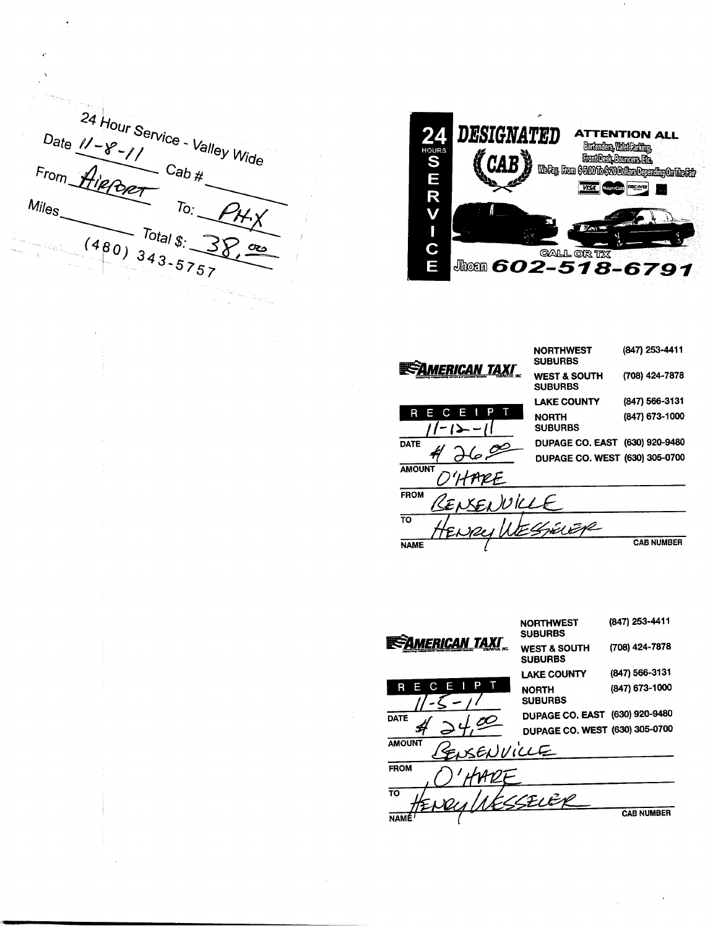Date  $1 - 8 - 11$ <br>
From Aiener Cab #<br>
Miles To: 24 Hour Service - Valley Wide  $P$ H $\chi$  $(480)$   $343-5757$ 



| Erican taxi <sup>.</sup> | <b>NORTHWEST</b><br><b>SUBURBS</b>        | (847) 253-4411    |
|--------------------------|-------------------------------------------|-------------------|
|                          | <b>WEST &amp; SOUTH</b><br><b>SUBURBS</b> | (708) 424-7878    |
|                          | <b>LAKE COUNTY</b>                        | (847) 566-3131    |
| E<br>R                   | NORTH<br><b>SUBURBS</b>                   | (847) 673-1000    |
| <b>DATE</b>              | DUPAGE CO. EAST (630) 920-9480            |                   |
|                          | DUPAGE CO. WEST (630) 305-0700            |                   |
| <b>AMOUNT</b>            |                                           |                   |
| <b>FROM</b><br>$W$ ke    |                                           |                   |
| TO                       | EI EVE                                    |                   |
| <b>NAME</b>              |                                           | <b>CAB NUMBER</b> |

(847) 253-4411 **NORTHWEST SUBURBS INSPIRACE AND TAXI** (708) 424-7878 **WEST & SOUTH SUBURBS** (847) 566-3131 **LAKE COUNTY** p R E C (847) 673-1000 **NORTH SUBURBS** DUPAGE CO. EAST (630) 920-9480 **DATE** DUPAGE CO. WEST (630) 305-0700 Ŀ **AMOUNT** پ **FROM** Ŧō CELER **CAB NUMBER NAME**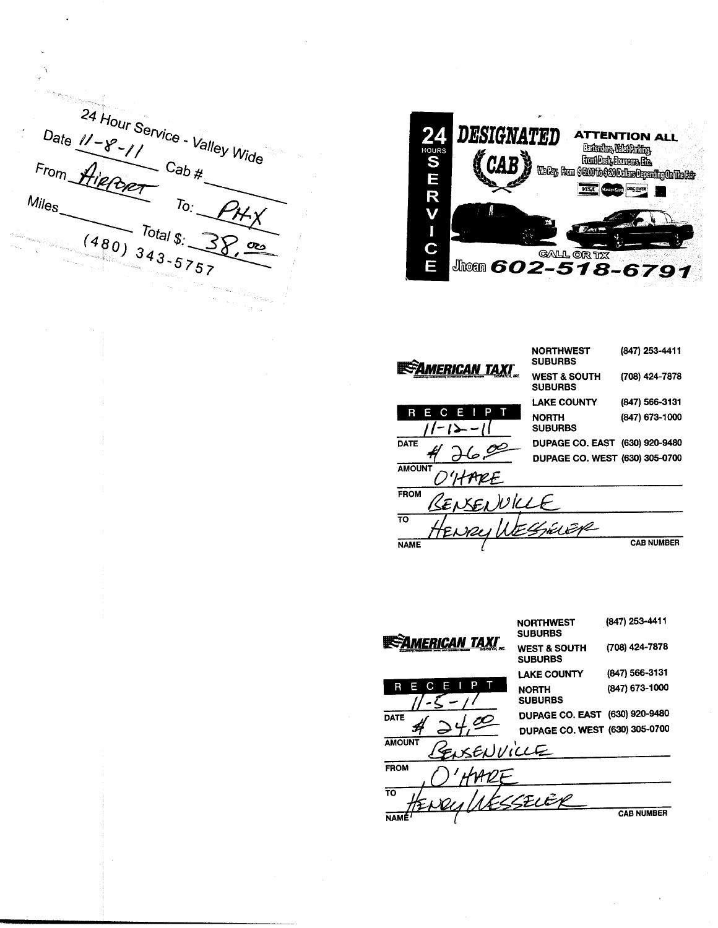24 Hour Service - Valley Wide Date  $11 - 8 - 11$ <br>From Hiercer Cab#  $F_{r o m}$  $Mil<sub>es</sub>$  $T_0$ .  $(480)$  343-5757 Total  $\mathfrak{g}$ :



| <i><b>IERICAN TAXI</b></i> | <b>NORTHWEST</b><br><b>SUBURBS</b>        | (847) 253-4411    |  |  |
|----------------------------|-------------------------------------------|-------------------|--|--|
|                            | <b>WEST &amp; SOUTH</b><br><b>SUBURBS</b> | (708) 424-7878    |  |  |
|                            | <b>LAKE COUNTY</b>                        | (847) 566-3131    |  |  |
| в<br>E                     | <b>NORTH</b><br><b>SUBURBS</b>            | (847) 673-1000    |  |  |
| <b>DATE</b>                | DUPAGE CO. EAST (630) 920-9480            |                   |  |  |
|                            | DUPAGE CO. WEST (630) 305-0700            |                   |  |  |
| <b>AMOUNT</b>              |                                           |                   |  |  |
| <b>FROM</b><br>ı Will      |                                           |                   |  |  |
| <b>TO</b><br>N2L           | THE PIPE                                  |                   |  |  |
| <b>NAME</b>                |                                           | <b>CAB NUMBER</b> |  |  |

(847) 253-4411 **NORTHWEST SUBURBS INSTAMERICAN TAXI** (708) 424-7878 **WEST & SOUTH SUBURBS** (847) 566-3131 **LAKE COUNTY** R E  $\Gamma$ п (847) 673-1000 **NORTH SUBURBS DUPAGE CO. EAST (630) 920-9480 DATE** DUPAGE CO. WEST (630) 305-0700 L **AMOUNT** بيمك **FROM**  $\overline{\mathrm{10}}$ <u>LEVEK</u> **CAB NUMBER NAME**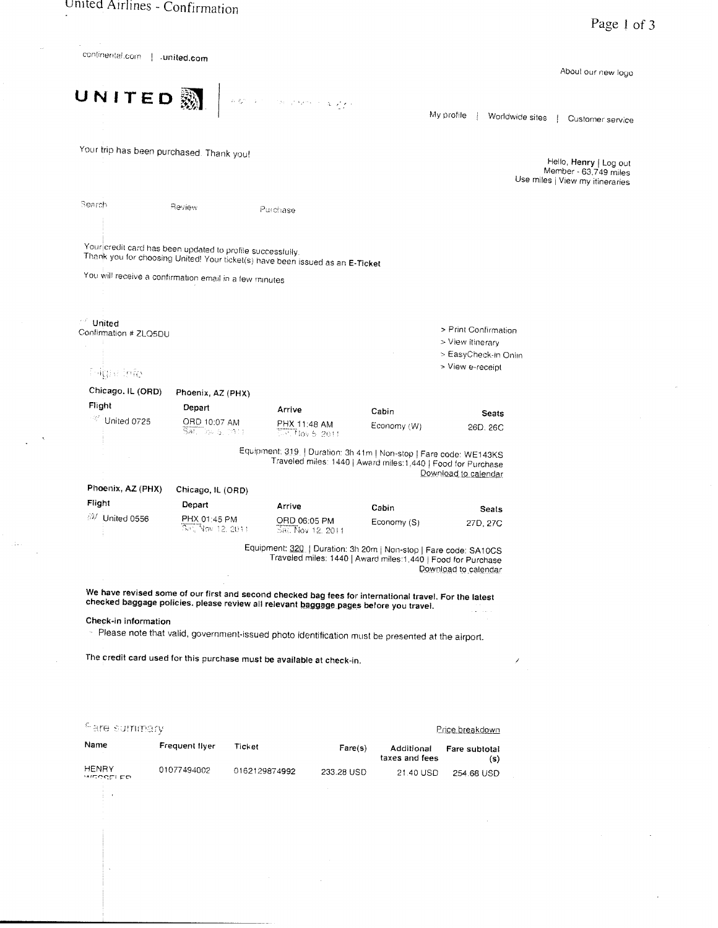$\langle \hat{A} \hat{A} \rangle$  $\bar{z}$ 

 $\ddot{\phantom{0}}$ 

| continental.com   .united.com                          |                                     |                                                                                                                                                                                                                                                                       |                                     |                                                                                                                                     |                                          | About our new logo                                       |
|--------------------------------------------------------|-------------------------------------|-----------------------------------------------------------------------------------------------------------------------------------------------------------------------------------------------------------------------------------------------------------------------|-------------------------------------|-------------------------------------------------------------------------------------------------------------------------------------|------------------------------------------|----------------------------------------------------------|
| UNITED &                                               |                                     |                                                                                                                                                                                                                                                                       |                                     |                                                                                                                                     |                                          |                                                          |
|                                                        |                                     | $\label{eq:zeta} \left\{ \begin{array}{ll} \displaystyle \mu(\mathfrak{D}^{\mathfrak{m}}_{\mathfrak{p}}(\mathfrak{p},\mathbb{C})) & \text{for } \mathfrak{p}(\mathfrak{p},\mathfrak{p},\mathbb{C}) \leq \mathfrak{q}(\mathfrak{p},\mathfrak{p}') \end{array} \right.$ |                                     |                                                                                                                                     | My profile                               | Worldwide sites   Customer service                       |
| Your trip has been purchased. Thank you!               |                                     |                                                                                                                                                                                                                                                                       |                                     |                                                                                                                                     |                                          | Hello, Henry   Log out                                   |
|                                                        |                                     |                                                                                                                                                                                                                                                                       |                                     |                                                                                                                                     |                                          | Member - 63,749 miles<br>Use miles   View my itineraries |
| Search                                                 | Review                              | Purchase                                                                                                                                                                                                                                                              |                                     |                                                                                                                                     |                                          |                                                          |
|                                                        |                                     | Your credit card has been updated to profile successfully.<br>Thank you for choosing United! Your ticket(s) have been issued as an E-Ticket                                                                                                                           |                                     |                                                                                                                                     |                                          |                                                          |
| You will receive a confirmation email in a few minutes |                                     |                                                                                                                                                                                                                                                                       |                                     |                                                                                                                                     |                                          |                                                          |
| $\ell + \vec{k}$                                       |                                     |                                                                                                                                                                                                                                                                       |                                     |                                                                                                                                     |                                          |                                                          |
| United<br>Confirmation # ZLQ5DU<br>$\sim$              |                                     |                                                                                                                                                                                                                                                                       |                                     |                                                                                                                                     | > Print Confirmation<br>> View itinerary |                                                          |
| <b>Pilipie info</b>                                    |                                     |                                                                                                                                                                                                                                                                       |                                     |                                                                                                                                     | > EasyCheck-in Onlin<br>> View e-receipt |                                                          |
| Chicago. IL (ORD)                                      |                                     |                                                                                                                                                                                                                                                                       |                                     |                                                                                                                                     |                                          |                                                          |
| Flight                                                 | Phoenix, AZ (PHX)<br>Depart         |                                                                                                                                                                                                                                                                       |                                     |                                                                                                                                     |                                          |                                                          |
| <sup>27</sup> United 0725                              | ORD 10:07 AM<br>Sat. Top 5, (1011). | Arrive                                                                                                                                                                                                                                                                | PHX 11:48 AM<br>$0.11$ los $6.2011$ | Cabin<br>Economy (W)                                                                                                                | Seats<br>26D, 26C                        |                                                          |
|                                                        |                                     |                                                                                                                                                                                                                                                                       |                                     | Equipment: 319.   Duration: 3h 41m   Non-stop   Fare code: WE143KS<br>Traveled miles: 1440   Award miles: 1,440   Food for Purchase | Download to calendar                     |                                                          |
| Phoenix, AZ (PHX)                                      | Chicago, IL (ORD)                   |                                                                                                                                                                                                                                                                       |                                     |                                                                                                                                     |                                          |                                                          |
| Flight                                                 | Depart                              | Arrive                                                                                                                                                                                                                                                                |                                     | Cabin                                                                                                                               | Seats                                    |                                                          |
| <b>W</b> United 0556                                   | PHX 01:45 PM<br>Sat, Nov 12, 2011   |                                                                                                                                                                                                                                                                       | ORD 06:05 PM<br>Sal. Nov 12, 2011   | Economy (S)                                                                                                                         | 27D, 27C                                 |                                                          |
|                                                        |                                     |                                                                                                                                                                                                                                                                       |                                     | Equipment: 320   Duration: 3h 20m   Non-stop   Fare code: SA10CS<br>Traveled miles: 1440   Award miles: 1,440   Food for Purchase   | Download to calendar                     |                                                          |
|                                                        |                                     | We have revised some of our first and second checked bag fees for international travel. For the latest<br>checked baggage policies. please review all relevant baggage pages before you travel.                                                                       |                                     |                                                                                                                                     |                                          |                                                          |
| Check-in information                                   |                                     | - Please note that valid, government-issued photo identification must be presented at the airport.                                                                                                                                                                    |                                     |                                                                                                                                     |                                          |                                                          |
|                                                        |                                     | The credit card used for this purchase must be available at check-in.                                                                                                                                                                                                 |                                     |                                                                                                                                     |                                          |                                                          |
|                                                        |                                     |                                                                                                                                                                                                                                                                       |                                     |                                                                                                                                     |                                          |                                                          |
| <sup>C</sup> are summary                               |                                     |                                                                                                                                                                                                                                                                       |                                     |                                                                                                                                     | Price breakdown                          |                                                          |
| Name                                                   | Frequent flyer                      | Ticket                                                                                                                                                                                                                                                                | Fare(s)                             | Additional<br>taxes and fees                                                                                                        | Fare subtotal<br>(s)                     |                                                          |
| <b>HENRY</b><br>witegni po                             | 01077494002                         | 0162129874992                                                                                                                                                                                                                                                         | 233.28 USD                          | 21.40 USD                                                                                                                           | 254.68 USD                               |                                                          |
|                                                        |                                     |                                                                                                                                                                                                                                                                       |                                     |                                                                                                                                     |                                          |                                                          |
|                                                        |                                     |                                                                                                                                                                                                                                                                       |                                     |                                                                                                                                     |                                          |                                                          |
|                                                        |                                     |                                                                                                                                                                                                                                                                       |                                     |                                                                                                                                     |                                          |                                                          |
|                                                        |                                     |                                                                                                                                                                                                                                                                       |                                     |                                                                                                                                     |                                          |                                                          |
|                                                        |                                     |                                                                                                                                                                                                                                                                       |                                     |                                                                                                                                     |                                          |                                                          |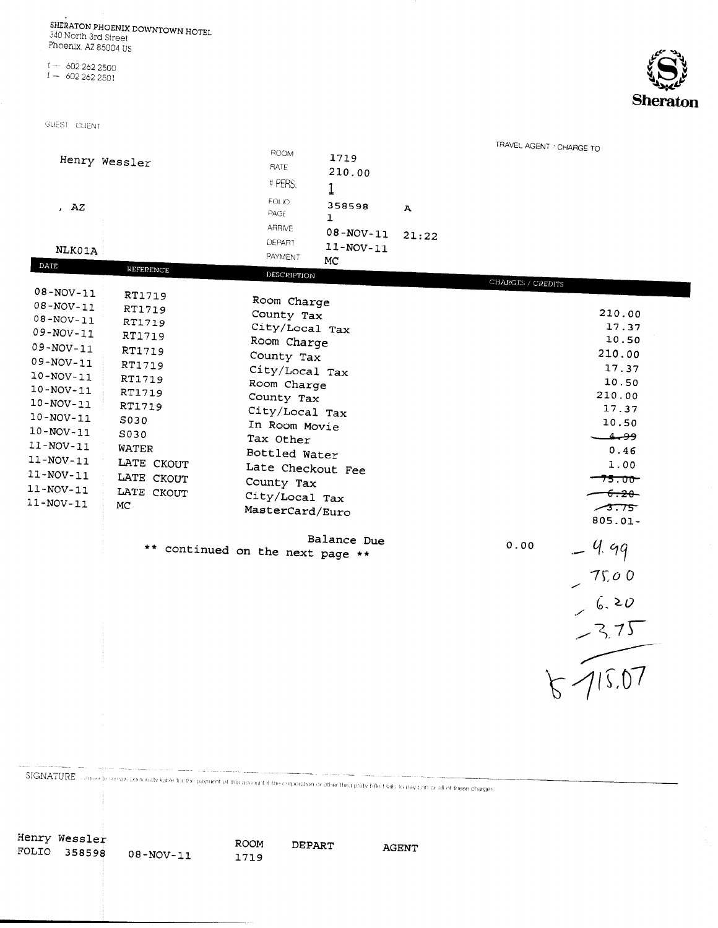SHERATON PHOENIX DOWNTOWN HOTEL 340 North 3rd Street<br>Phoenix, AZ 85004 US

 $t - 6022622500$ <br> $t - 6022622501$ 

GUEST CLIENT

Henry Wessler

FOLIO 358598

 $08 - NOV - 11$ 



|                 |                                                                                                                                                                       |                              |                                  | TRAVEL AGENT / CHARGE TO |                   |                                |
|-----------------|-----------------------------------------------------------------------------------------------------------------------------------------------------------------------|------------------------------|----------------------------------|--------------------------|-------------------|--------------------------------|
|                 |                                                                                                                                                                       | ROOM                         | 1719                             |                          |                   |                                |
|                 | Henry Wessler                                                                                                                                                         | RATE                         |                                  |                          |                   |                                |
|                 |                                                                                                                                                                       | # PERS.                      | 210.00                           |                          |                   |                                |
|                 |                                                                                                                                                                       |                              | l                                |                          |                   |                                |
| , $AZ$          |                                                                                                                                                                       | FOLIO-                       | 358598                           | A                        |                   |                                |
|                 |                                                                                                                                                                       | PAGE                         | $\mathbf{1}$                     |                          |                   |                                |
|                 |                                                                                                                                                                       | <b>ARRIVE</b>                | $08 - NOV - 11$                  |                          |                   |                                |
|                 |                                                                                                                                                                       | DEPART                       |                                  | 21:22                    |                   |                                |
| <b>NLK01A</b>   |                                                                                                                                                                       | PAYMENT                      | $11 - NOV - 11$                  |                          |                   |                                |
| DATE            | <b>REFERENCE</b>                                                                                                                                                      |                              | MC                               |                          |                   |                                |
|                 |                                                                                                                                                                       | DESCRIPTION                  |                                  |                          | CHARGES / CREDITS |                                |
| $08 - NOV - 11$ | <b>RT1719</b>                                                                                                                                                         |                              |                                  |                          |                   |                                |
| $08 - NOV - 11$ | RT1719                                                                                                                                                                | Room Charge                  |                                  |                          |                   |                                |
| $08 - NOV - 11$ | RT1719                                                                                                                                                                | County Tax                   |                                  |                          |                   | 210.00                         |
| $09 - NOV - 11$ | RT1719                                                                                                                                                                | City/Local Tax               |                                  |                          |                   | 17.37                          |
| $09 - NOV - 11$ | RT1719                                                                                                                                                                | Room Charge                  |                                  |                          |                   | 10.50                          |
| $09 - NOV - 11$ |                                                                                                                                                                       | County Tax                   |                                  |                          |                   | 210.00                         |
| $10 - NOV - 11$ | RT1719                                                                                                                                                                | City/Local Tax               |                                  |                          |                   | 17.37                          |
|                 | <b>RT1719</b>                                                                                                                                                         | Room Charge                  |                                  |                          |                   | 10.50                          |
| $10 - NOV - 11$ | RT1719                                                                                                                                                                | County Tax                   |                                  |                          |                   | 210.00                         |
| $10 - NOV - 11$ | RT1719                                                                                                                                                                | City/Local Tax               |                                  |                          |                   | 17.37                          |
| $10 - NOV - 11$ | S030                                                                                                                                                                  |                              |                                  |                          |                   | 10.50                          |
| $10 - NOV - 11$ | S030                                                                                                                                                                  | In Room Movie<br>Tax Other   |                                  |                          |                   | ووجف                           |
| $11-NOV-11$     | WATER                                                                                                                                                                 | Bottled Water                |                                  |                          |                   | 0.46                           |
| $11 - NOV - 11$ | LATE CKOUT                                                                                                                                                            |                              |                                  |                          |                   | 1.00                           |
| $11 - NOV - 11$ | LATE CKOUT                                                                                                                                                            | Late Checkout Fee            |                                  |                          |                   | <del>75.00-</del>              |
| $11 - NOV - 11$ | LATE CKOUT                                                                                                                                                            | County Tax<br>City/Local Tax |                                  |                          |                   |                                |
| $11 - NOV - 11$ | МC                                                                                                                                                                    |                              |                                  |                          |                   | <del>-6.20 -</del>             |
|                 |                                                                                                                                                                       | MasterCard/Euro              |                                  |                          |                   | 73.75                          |
|                 |                                                                                                                                                                       |                              |                                  |                          |                   | $805.01 -$                     |
|                 |                                                                                                                                                                       | Balance Due                  |                                  |                          | 0.00              |                                |
|                 |                                                                                                                                                                       |                              | ** continued on the next page ** |                          |                   | . 4. 99                        |
|                 |                                                                                                                                                                       |                              |                                  |                          |                   |                                |
|                 |                                                                                                                                                                       |                              |                                  |                          |                   | $-75.00$<br>$-6.20$<br>$-3.75$ |
|                 |                                                                                                                                                                       |                              |                                  |                          |                   |                                |
|                 |                                                                                                                                                                       |                              |                                  |                          |                   |                                |
|                 |                                                                                                                                                                       |                              |                                  |                          |                   |                                |
|                 |                                                                                                                                                                       |                              |                                  |                          |                   |                                |
|                 |                                                                                                                                                                       |                              |                                  |                          |                   |                                |
|                 |                                                                                                                                                                       |                              |                                  |                          |                   |                                |
|                 |                                                                                                                                                                       |                              |                                  |                          |                   | K115.07                        |
|                 |                                                                                                                                                                       |                              |                                  |                          |                   |                                |
|                 |                                                                                                                                                                       |                              |                                  |                          |                   |                                |
|                 |                                                                                                                                                                       |                              |                                  |                          |                   |                                |
|                 |                                                                                                                                                                       |                              |                                  |                          |                   |                                |
|                 |                                                                                                                                                                       |                              |                                  |                          |                   |                                |
|                 |                                                                                                                                                                       |                              |                                  |                          |                   |                                |
|                 |                                                                                                                                                                       |                              |                                  |                          |                   |                                |
|                 | SIGNATURE suggest the remain personally lable for the payment of this account if the corporation or other throupouty billed tails to pay part or all of these charges |                              |                                  |                          |                   |                                |
|                 |                                                                                                                                                                       |                              |                                  |                          |                   |                                |
|                 |                                                                                                                                                                       |                              |                                  |                          |                   |                                |
|                 |                                                                                                                                                                       |                              |                                  |                          |                   |                                |

ROOM

1719

DEPART

AGENT